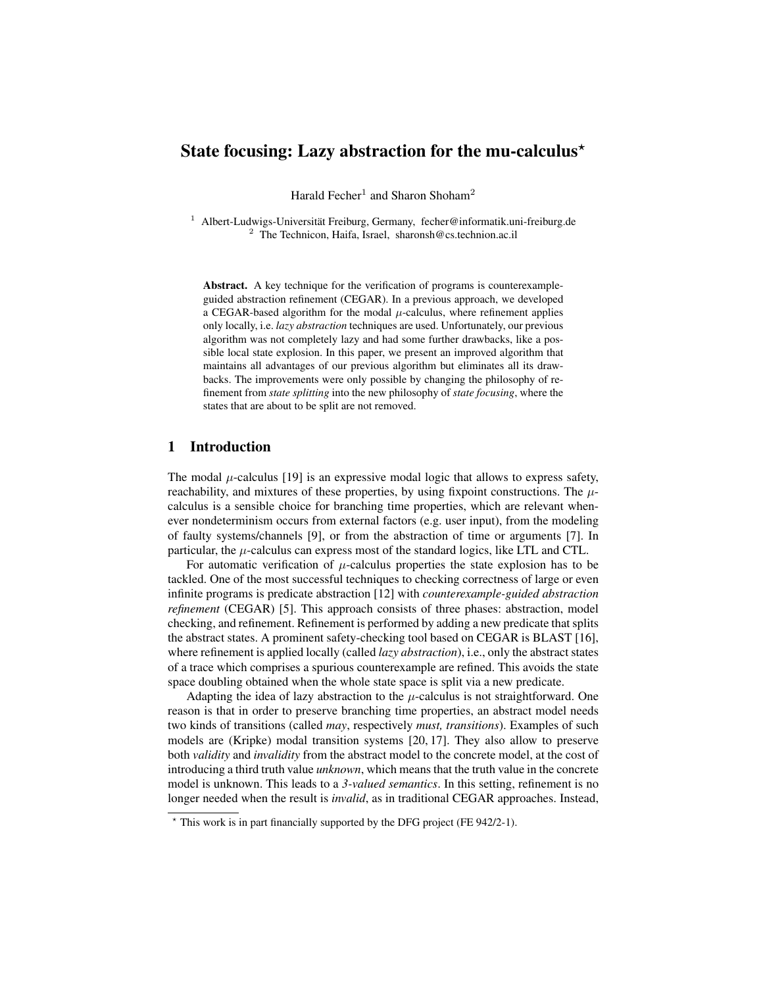# State focusing: Lazy abstraction for the mu-calculus<sup>\*</sup>

Harald Fecher<sup>1</sup> and Sharon Shoham<sup>2</sup>

<sup>1</sup> Albert-Ludwigs-Universität Freiburg, Germany, fecher@informatik.uni-freiburg.de <sup>2</sup> The Technicon, Haifa, Israel, sharonsh@cs.technion.ac.il

Abstract. A key technique for the verification of programs is counterexampleguided abstraction refinement (CEGAR). In a previous approach, we developed a CEGAR-based algorithm for the modal  $\mu$ -calculus, where refinement applies only locally, i.e. *lazy abstraction* techniques are used. Unfortunately, our previous algorithm was not completely lazy and had some further drawbacks, like a possible local state explosion. In this paper, we present an improved algorithm that maintains all advantages of our previous algorithm but eliminates all its drawbacks. The improvements were only possible by changing the philosophy of refinement from *state splitting* into the new philosophy of *state focusing*, where the states that are about to be split are not removed.

## 1 Introduction

The modal  $\mu$ -calculus [19] is an expressive modal logic that allows to express safety, reachability, and mixtures of these properties, by using fixpoint constructions. The  $\mu$ calculus is a sensible choice for branching time properties, which are relevant whenever nondeterminism occurs from external factors (e.g. user input), from the modeling of faulty systems/channels [9], or from the abstraction of time or arguments [7]. In particular, the  $\mu$ -calculus can express most of the standard logics, like LTL and CTL.

For automatic verification of  $\mu$ -calculus properties the state explosion has to be tackled. One of the most successful techniques to checking correctness of large or even infinite programs is predicate abstraction [12] with *counterexample-guided abstraction refinement* (CEGAR) [5]. This approach consists of three phases: abstraction, model checking, and refinement. Refinement is performed by adding a new predicate that splits the abstract states. A prominent safety-checking tool based on CEGAR is BLAST [16], where refinement is applied locally (called *lazy abstraction*), i.e., only the abstract states of a trace which comprises a spurious counterexample are refined. This avoids the state space doubling obtained when the whole state space is split via a new predicate.

Adapting the idea of lazy abstraction to the  $\mu$ -calculus is not straightforward. One reason is that in order to preserve branching time properties, an abstract model needs two kinds of transitions (called *may*, respectively *must, transitions*). Examples of such models are (Kripke) modal transition systems [20, 17]. They also allow to preserve both *validity* and *invalidity* from the abstract model to the concrete model, at the cost of introducing a third truth value *unknown*, which means that the truth value in the concrete model is unknown. This leads to a *3-valued semantics*. In this setting, refinement is no longer needed when the result is *invalid*, as in traditional CEGAR approaches. Instead,

<sup>?</sup> This work is in part financially supported by the DFG project (FE 942/2-1).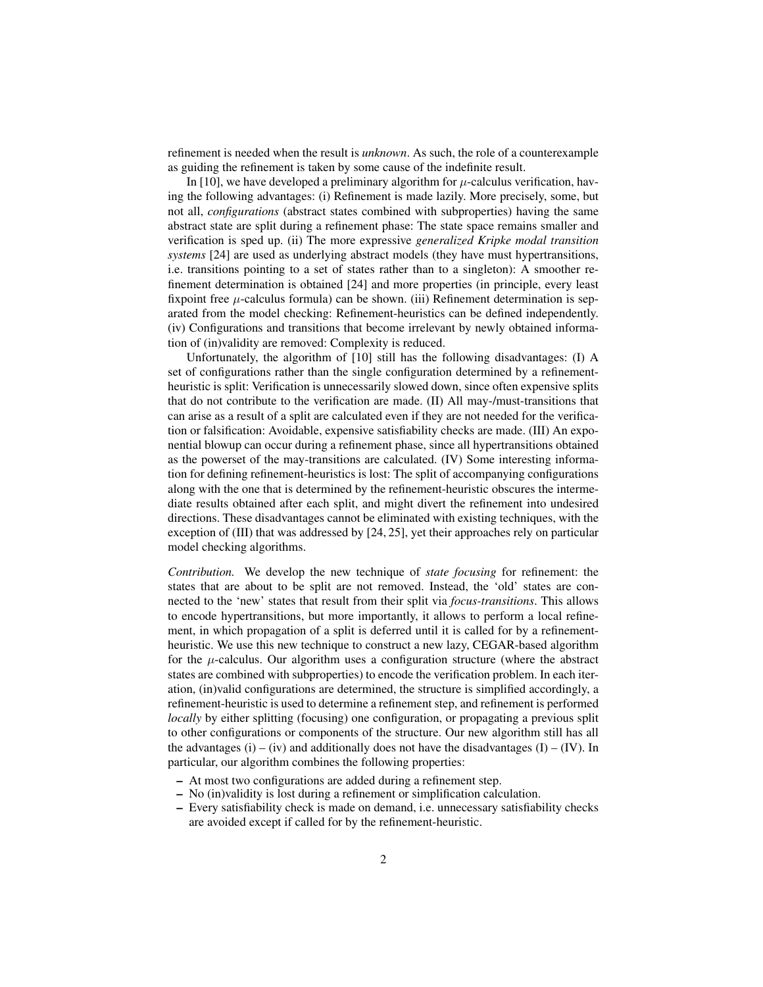refinement is needed when the result is *unknown*. As such, the role of a counterexample as guiding the refinement is taken by some cause of the indefinite result.

In [10], we have developed a preliminary algorithm for  $\mu$ -calculus verification, having the following advantages: (i) Refinement is made lazily. More precisely, some, but not all, *configurations* (abstract states combined with subproperties) having the same abstract state are split during a refinement phase: The state space remains smaller and verification is sped up. (ii) The more expressive *generalized Kripke modal transition systems* [24] are used as underlying abstract models (they have must hypertransitions, i.e. transitions pointing to a set of states rather than to a singleton): A smoother refinement determination is obtained [24] and more properties (in principle, every least fixpoint free  $\mu$ -calculus formula) can be shown. (iii) Refinement determination is separated from the model checking: Refinement-heuristics can be defined independently. (iv) Configurations and transitions that become irrelevant by newly obtained information of (in)validity are removed: Complexity is reduced.

Unfortunately, the algorithm of [10] still has the following disadvantages: (I) A set of configurations rather than the single configuration determined by a refinementheuristic is split: Verification is unnecessarily slowed down, since often expensive splits that do not contribute to the verification are made. (II) All may-/must-transitions that can arise as a result of a split are calculated even if they are not needed for the verification or falsification: Avoidable, expensive satisfiability checks are made. (III) An exponential blowup can occur during a refinement phase, since all hypertransitions obtained as the powerset of the may-transitions are calculated. (IV) Some interesting information for defining refinement-heuristics is lost: The split of accompanying configurations along with the one that is determined by the refinement-heuristic obscures the intermediate results obtained after each split, and might divert the refinement into undesired directions. These disadvantages cannot be eliminated with existing techniques, with the exception of (III) that was addressed by [24, 25], yet their approaches rely on particular model checking algorithms.

*Contribution.* We develop the new technique of *state focusing* for refinement: the states that are about to be split are not removed. Instead, the 'old' states are connected to the 'new' states that result from their split via *focus-transitions*. This allows to encode hypertransitions, but more importantly, it allows to perform a local refinement, in which propagation of a split is deferred until it is called for by a refinementheuristic. We use this new technique to construct a new lazy, CEGAR-based algorithm for the  $\mu$ -calculus. Our algorithm uses a configuration structure (where the abstract states are combined with subproperties) to encode the verification problem. In each iteration, (in)valid configurations are determined, the structure is simplified accordingly, a refinement-heuristic is used to determine a refinement step, and refinement is performed *locally* by either splitting (focusing) one configuration, or propagating a previous split to other configurations or components of the structure. Our new algorithm still has all the advantages  $(i) - (iv)$  and additionally does not have the disadvantages  $(I) - (IV)$ . In particular, our algorithm combines the following properties:

- At most two configurations are added during a refinement step.
- No (in)validity is lost during a refinement or simplification calculation.
- Every satisfiability check is made on demand, i.e. unnecessary satisfiability checks are avoided except if called for by the refinement-heuristic.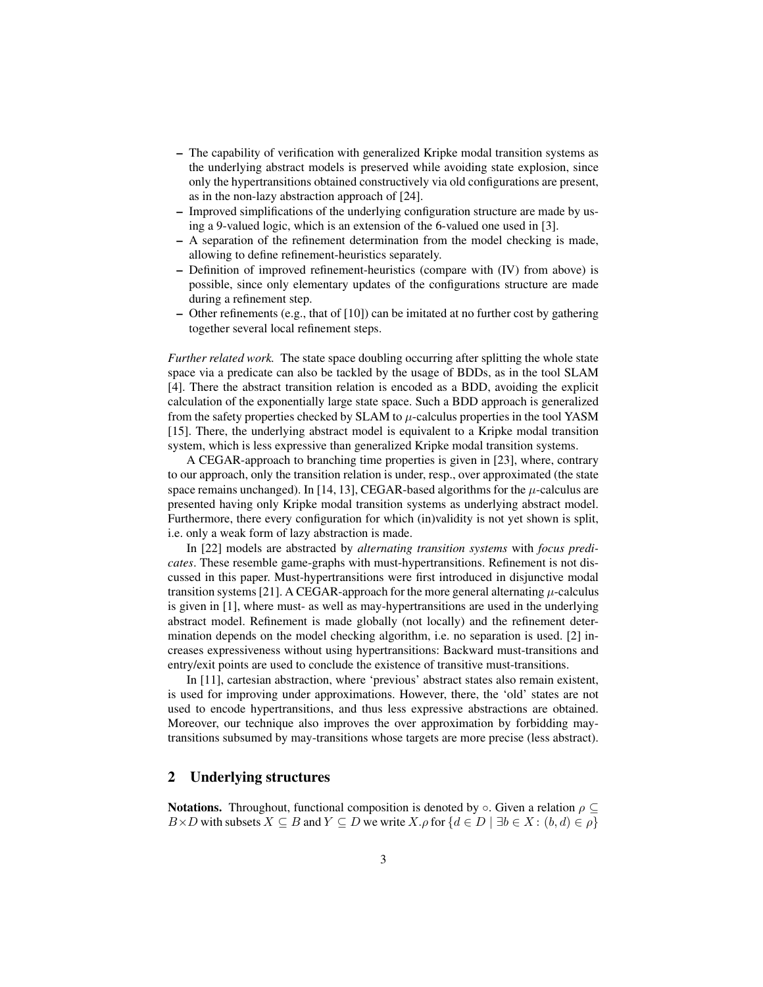- The capability of verification with generalized Kripke modal transition systems as the underlying abstract models is preserved while avoiding state explosion, since only the hypertransitions obtained constructively via old configurations are present, as in the non-lazy abstraction approach of [24].
- Improved simplifications of the underlying configuration structure are made by using a 9-valued logic, which is an extension of the 6-valued one used in [3].
- A separation of the refinement determination from the model checking is made, allowing to define refinement-heuristics separately.
- Definition of improved refinement-heuristics (compare with (IV) from above) is possible, since only elementary updates of the configurations structure are made during a refinement step.
- Other refinements (e.g., that of [10]) can be imitated at no further cost by gathering together several local refinement steps.

*Further related work.* The state space doubling occurring after splitting the whole state space via a predicate can also be tackled by the usage of BDDs, as in the tool SLAM [4]. There the abstract transition relation is encoded as a BDD, avoiding the explicit calculation of the exponentially large state space. Such a BDD approach is generalized from the safety properties checked by SLAM to  $\mu$ -calculus properties in the tool YASM [15]. There, the underlying abstract model is equivalent to a Kripke modal transition system, which is less expressive than generalized Kripke modal transition systems.

A CEGAR-approach to branching time properties is given in [23], where, contrary to our approach, only the transition relation is under, resp., over approximated (the state space remains unchanged). In [14, 13], CEGAR-based algorithms for the  $\mu$ -calculus are presented having only Kripke modal transition systems as underlying abstract model. Furthermore, there every configuration for which (in)validity is not yet shown is split, i.e. only a weak form of lazy abstraction is made.

In [22] models are abstracted by *alternating transition systems* with *focus predicates*. These resemble game-graphs with must-hypertransitions. Refinement is not discussed in this paper. Must-hypertransitions were first introduced in disjunctive modal transition systems [21]. A CEGAR-approach for the more general alternating  $\mu$ -calculus is given in [1], where must- as well as may-hypertransitions are used in the underlying abstract model. Refinement is made globally (not locally) and the refinement determination depends on the model checking algorithm, i.e. no separation is used. [2] increases expressiveness without using hypertransitions: Backward must-transitions and entry/exit points are used to conclude the existence of transitive must-transitions.

In [11], cartesian abstraction, where 'previous' abstract states also remain existent, is used for improving under approximations. However, there, the 'old' states are not used to encode hypertransitions, and thus less expressive abstractions are obtained. Moreover, our technique also improves the over approximation by forbidding maytransitions subsumed by may-transitions whose targets are more precise (less abstract).

## 2 Underlying structures

**Notations.** Throughout, functional composition is denoted by  $\circ$ . Given a relation  $\rho \subseteq$  $B\times D$  with subsets  $X \subseteq B$  and  $Y \subseteq D$  we write  $X.\rho$  for  $\{d \in D \mid \exists b \in X : (b, d) \in \rho\}$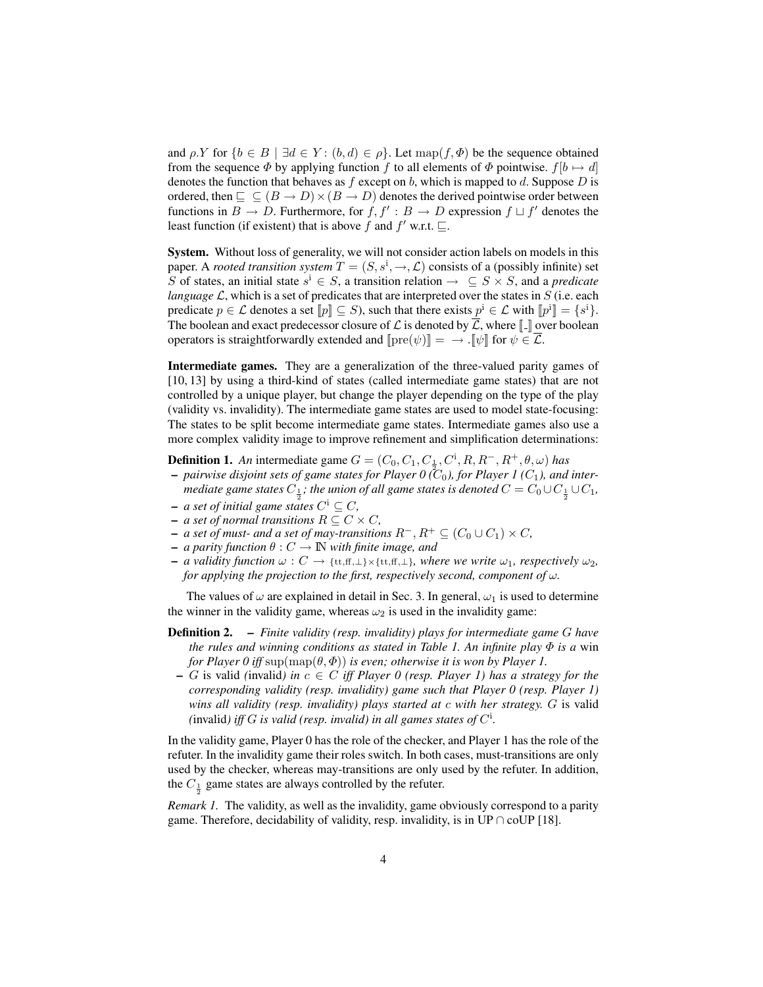and  $\rho.Y$  for  $\{b \in B \mid \exists d \in Y : (b, d) \in \rho\}$ . Let  $map(f, \Phi)$  be the sequence obtained from the sequence  $\Phi$  by applying function f to all elements of  $\Phi$  pointwise.  $f[b \mapsto d]$ denotes the function that behaves as  $f$  except on  $b$ , which is mapped to  $d$ . Suppose  $D$  is ordered, then  $\subseteq$   $(B \to D) \times (B \to D)$  denotes the derived pointwise order between functions in  $B \to D$ . Furthermore, for  $f, f' : B \to D$  expression  $f \sqcup f'$  denotes the least function (if existent) that is above f and  $f'$  w.r.t.  $\sqsubseteq$ .

System. Without loss of generality, we will not consider action labels on models in this paper. A *rooted transition system*  $T = (S, s^i, \rightarrow, \mathcal{L})$  consists of a (possibly infinite) set S of states, an initial state  $s^i \in S$ , a transition relation  $\rightarrow \subseteq S \times S$ , and a *predicate language* L, which is a set of predicates that are interpreted over the states in S (i.e. each predicate  $p \in \mathcal{L}$  denotes a set  $[p] \subseteq S$ ), such that there exists  $p^i \in \mathcal{L}$  with  $[p^i] = \{s^i\}.$ The boolean and exact predecessor closure of  $\mathcal L$  is denoted by  $\overline{\mathcal L}$ , where  $\llbracket \cdot \rrbracket$  over boolean operators is straightforwardly extended and  $[\text{pre}(\psi)]= \rightarrow [\![\psi]\!]$  for  $\psi \in \mathcal{L}$ .

Intermediate games. They are a generalization of the three-valued parity games of [10, 13] by using a third-kind of states (called intermediate game states) that are not controlled by a unique player, but change the player depending on the type of the play (validity vs. invalidity). The intermediate game states are used to model state-focusing: The states to be split become intermediate game states. Intermediate games also use a more complex validity image to improve refinement and simplification determinations:

**Definition 1.** An intermediate game  $G = (C_0, C_1, C_{\frac{1}{2}}, C^i, R, R^-, R^+, \theta, \omega)$  has

- 2 *pairwise disjoint sets of game states for Player 0 (*C0*), for Player 1 (*C1*), and intermediate game states*  $C_{\frac{1}{2}}$ *; the union of all game states is denoted*  $C = C_0 \cup C_{\frac{1}{2}} \cup C_1$ *,*
- − *a set of initial game states*  $C^i$  ⊆  $C$ ,
- *a set of normal transitions* R ⊆ C × C*,*
- $-$  *a set of must- and a set of may-transitions*  $R^-$ ,  $R^+$  ⊆ ( $C_0 \cup C_1$ ) ×  $C$ ,
- $-$  *a parity function*  $\theta$  :  $C \rightarrow \mathbb{N}$  *with finite image, and*
- $-$  *a validity function* ω : *C* → {tt,ff,⊥}×{tt,ff,⊥}*, where we write* ω<sub>1</sub>*, respectively* ω<sub>2</sub>*, for applying the projection to the first, respectively second, component of* ω*.*

The values of  $\omega$  are explained in detail in Sec. 3. In general,  $\omega_1$  is used to determine the winner in the validity game, whereas  $\omega_2$  is used in the invalidity game:

- Definition 2. *Finite validity (resp. invalidity) plays for intermediate game* G *have the rules and winning conditions as stated in Table 1. An infinite play* Φ *is a* win *for Player 0 iff* sup $(\text{map}(\theta, \Phi))$  *is even; otherwise it is won by Player 1.* 
	- $−$  *G* is valid (invalid) in  $c ∈ C$  *iff Player 0 (resp. Player 1) has a strategy for the corresponding validity (resp. invalidity) game such that Player 0 (resp. Player 1) wins all validity (resp. invalidity) plays started at* c *with her strategy.* G is valid (invalid) *iff*  $G$  *is valid (resp. invalid) in all games states of*  $C^i$ *.*

In the validity game, Player 0 has the role of the checker, and Player 1 has the role of the refuter. In the invalidity game their roles switch. In both cases, must-transitions are only used by the checker, whereas may-transitions are only used by the refuter. In addition, the  $C_{\frac{1}{2}}$  game states are always controlled by the refuter.

*Remark 1.* The validity, as well as the invalidity, game obviously correspond to a parity game. Therefore, decidability of validity, resp. invalidity, is in UP  $\cap$  coUP [18].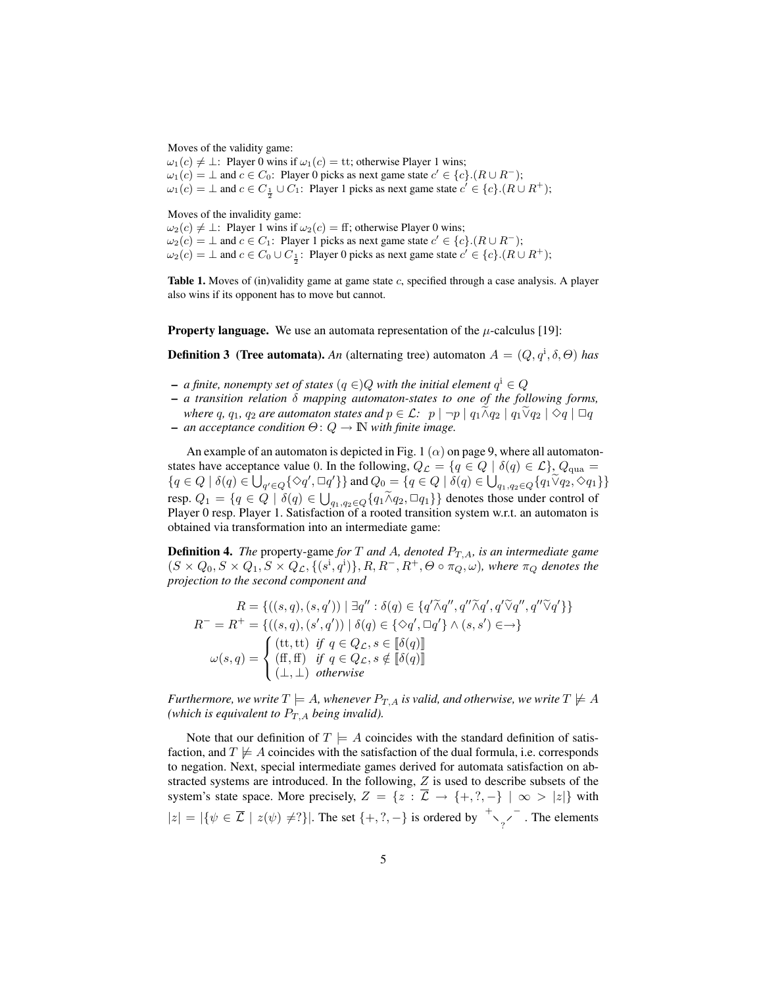Moves of the validity game:

 $\omega_1(c) \neq \perp$ : Player 0 wins if  $\omega_1(c) = \text{tt}$ ; otherwise Player 1 wins;  $\omega_1(c) = \bot$  and  $c \in C_0$ : Player 0 picks as next game state  $c' \in \{c\}$ .  $(R \cup R^-)$ ;  $\omega_1(c) = \bot$  and  $c \in C_{\frac{1}{2}} \cup C_1$ : Player 1 picks as next game state  $c' \in \{c\}$ .  $(R \cup R^+)$ ;

Moves of the invalidity game:

 $\omega_2(c) \neq \perp$ : Player 1 wins if  $\omega_2(c) = ff$ ; otherwise Player 0 wins;  $\omega_2(c) = \bot$  and  $c \in C_1$ : Player 1 picks as next game state  $c' \in \{c\}$ .  $(R \cup R^-)$ ;  $\omega_2(c) = \bot$  and  $c \in C_0 \cup C_{\frac{1}{2}}$ : Player 0 picks as next game state  $c' \in \{c\}$ .  $(R \cup R^+)$ ;

Table 1. Moves of (in)validity game at game state  $c$ , specified through a case analysis. A player also wins if its opponent has to move but cannot.

**Property language.** We use an automata representation of the  $\mu$ -calculus [19]:

**Definition 3** (Tree automata). An (alternating tree) automaton  $A = (Q, q^i, \delta, \Theta)$  has

- $-$  *a finite, nonempty set of states*  $(q ∈)Q$  *with the initial element*  $q<sup>i</sup> ∈ Q$
- *a transition relation* δ *mapping automaton-states to one of the following forms, where* q,  $q_1$ ,  $q_2$  *are automaton states and*  $p \in \mathcal{L}$ :  $p \mid \neg p \mid q_1 \tilde{\wedge} q_2 \mid q_1 \tilde{\vee} q_2 \mid \varphi q \mid \Box q$
- $-$  *an acceptance condition*  $\Theta: Q \to \mathbb{N}$  *with finite image.*

An example of an automaton is depicted in Fig. 1  $(\alpha)$  on page 9, where all automatonstates have acceptance value 0. In the following,  $Q_{\mathcal{L}} = \{q \in Q \mid \delta(q) \in \mathcal{L}\}, Q_{\text{qua}} =$  $\{q\in Q\mid \delta(q)\in \bigcup_{q'\in Q}\{\diamond q',\Box q'\}\}\text{ and }Q_0=\{q\in Q\mid \delta(q)\in \bigcup_{q_1,q_2\in Q}\{q_1\widetilde{\vee}q_2,\diamond q_1\}\}$ resp.  $Q_1 = \{q \in Q \mid \delta(q) \in \bigcup_{q_1, q_2 \in Q} \{q_1 \tilde{\wedge} q_2, \Box q_1\} \}$  denotes those under control of Player 0 resp. Player 1. Satisfaction of a rooted transition system w.r.t. an automaton is obtained via transformation into an intermediate game:

**Definition 4.** *The* property-game *for*  $T$  *and*  $A$ *, denoted*  $P_{T,A}$ *, is an intermediate game*  $(S \times Q_0, S \times Q_1, S \times Q_{\mathcal{L}}, \{(s^i, q^i)\}, R, R^-, R^+, \Theta \circ \pi_Q, \omega)$ , where  $\pi_Q$  denotes the *projection to the second component and*

$$
R = \{((s, q), (s, q')) \mid \exists q'' : \delta(q) \in \{q' \tilde{\wedge} q'', q'' \tilde{\wedge} q', q' \tilde{\vee} q'', q'' \tilde{\vee} q'\} \}
$$
\n
$$
R^- = R^+ = \{((s, q), (s', q')) \mid \delta(q) \in \{\otimes q', \Box q'\} \wedge (s, s') \in \to \}
$$
\n
$$
\omega(s, q) = \begin{cases} (\text{tt}, \text{tt}) & \text{if } q \in Q_{\mathcal{L}}, s \in [\![\delta(q)]\!] \\ (\bot, \bot) & \text{otherwise} \end{cases}
$$

*Furthermore, we write*  $T \models A$ *, whenever*  $P_{T,A}$  *is valid, and otherwise, we write*  $T \not\models A$ *(which is equivalent to*  $P_{T,A}$  *being invalid).* 

Note that our definition of  $T \models A$  coincides with the standard definition of satisfaction, and  $T \not\models A$  coincides with the satisfaction of the dual formula, i.e. corresponds to negation. Next, special intermediate games derived for automata satisfaction on abstracted systems are introduced. In the following,  $Z$  is used to describe subsets of the system's state space. More precisely,  $Z = \{z : \mathcal{L} \to \{+,?,-\}\;|\; \infty > |z|\}$  with  $|z| = |\{\psi \in \mathcal{L} \mid z(\psi) \neq ?\}|$ . The set  $\{+, ?, -\}$  is ordered by  $\searrow$ <sub>?</sub>  $+ \sqrt{2}$ . The elements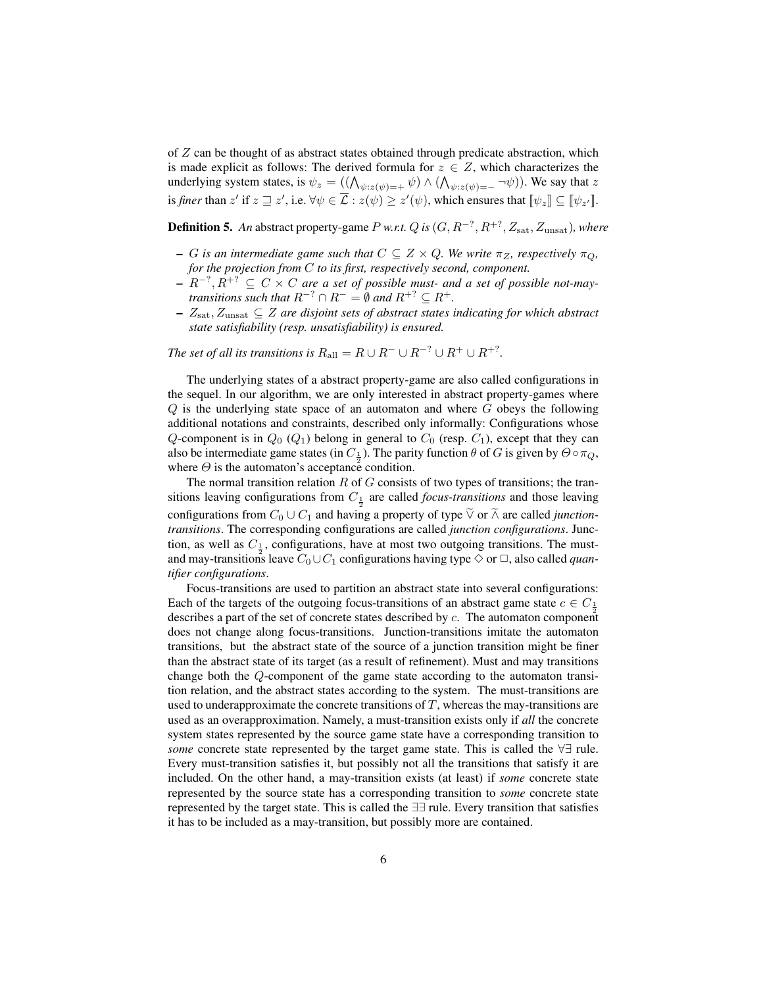of Z can be thought of as abstract states obtained through predicate abstraction, which is made explicit as follows: The derived formula for  $z \in Z$ , which characterizes the underlying system states, is  $\psi_z = ((\bigwedge_{\psi : z(\psi) = +} \psi) \wedge (\bigwedge_{\psi : z(\psi) = -} \neg \psi))$ . We say that z is *finer* than  $z'$  if  $z \sqsupseteq z'$ , i.e.  $\forall \psi \in \overline{\mathcal{L}} : z(\psi) \geq z'(\psi)$ , which ensures that  $[\![\psi_z]\!] \subseteq [\![\psi_{z'}]\!]$ .

**Definition 5.** An abstract property-game  $P$  w.r.t.  $Q$  is  $(G, R^{-7}, R^{+7}, Z_{\text{sat}}, Z_{\text{unsat}})$ , where

- $-G$  *is an intermediate game such that*  $C \subseteq Z \times Q$ *. We write*  $\pi_Z$ *, respectively*  $\pi_Q$ *, for the projection from* C *to its first, respectively second, component.*
- $R^{-7}, R^{+?} ⊆ C \times C$  are a set of possible must- and a set of possible not-may*transitions such that*  $R^{-?} \cap R^{-} = \emptyset$  *and*  $R^{+?} \subseteq R^{+}$ *.*
- Zsat, Zunsat ⊆ Z *are disjoint sets of abstract states indicating for which abstract state satisfiability (resp. unsatisfiability) is ensured.*

*The set of all its transitions is*  $R_{\text{all}} = R \cup R^{-} \cup R^{-} \cup R^{+} \cup R^{+}$ ?

The underlying states of a abstract property-game are also called configurations in the sequel. In our algorithm, we are only interested in abstract property-games where  $Q$  is the underlying state space of an automaton and where  $G$  obeys the following additional notations and constraints, described only informally: Configurations whose Q-component is in  $Q_0$  ( $Q_1$ ) belong in general to  $C_0$  (resp.  $C_1$ ), except that they can also be intermediate game states (in  $C_{\frac{1}{2}}$ ). The parity function  $\theta$  of G is given by  $\Theta \circ \pi_Q$ , where  $\Theta$  is the automaton's acceptance condition.

The normal transition relation  $R$  of  $G$  consists of two types of transitions; the transitions leaving configurations from  $C_{\frac{1}{2}}$  are called *focus-transitions* and those leaving configurations from  $C_0 \cup C_1$  and having a property of type  $\tilde{\vee}$  or  $\tilde{\wedge}$  are called *junctiontransitions*. The corresponding configurations are called *junction configurations*. Junction, as well as  $C_{\frac{1}{2}}$ , configurations, have at most two outgoing transitions. The mustand may-transitions leave  $C_0 \cup C_1$  configurations having type  $\Diamond$  or  $\Box$ , also called *quantifier configurations*.

Focus-transitions are used to partition an abstract state into several configurations: Each of the targets of the outgoing focus-transitions of an abstract game state  $c \in C_1$ describes a part of the set of concrete states described by  $c$ . The automaton component does not change along focus-transitions. Junction-transitions imitate the automaton transitions, but the abstract state of the source of a junction transition might be finer than the abstract state of its target (as a result of refinement). Must and may transitions change both the Q-component of the game state according to the automaton transition relation, and the abstract states according to the system. The must-transitions are used to underapproximate the concrete transitions of  $T$ , whereas the may-transitions are used as an overapproximation. Namely, a must-transition exists only if *all* the concrete system states represented by the source game state have a corresponding transition to *some* concrete state represented by the target game state. This is called the  $\forall \exists$  rule. Every must-transition satisfies it, but possibly not all the transitions that satisfy it are included. On the other hand, a may-transition exists (at least) if *some* concrete state represented by the source state has a corresponding transition to *some* concrete state represented by the target state. This is called the ∃∃ rule. Every transition that satisfies it has to be included as a may-transition, but possibly more are contained.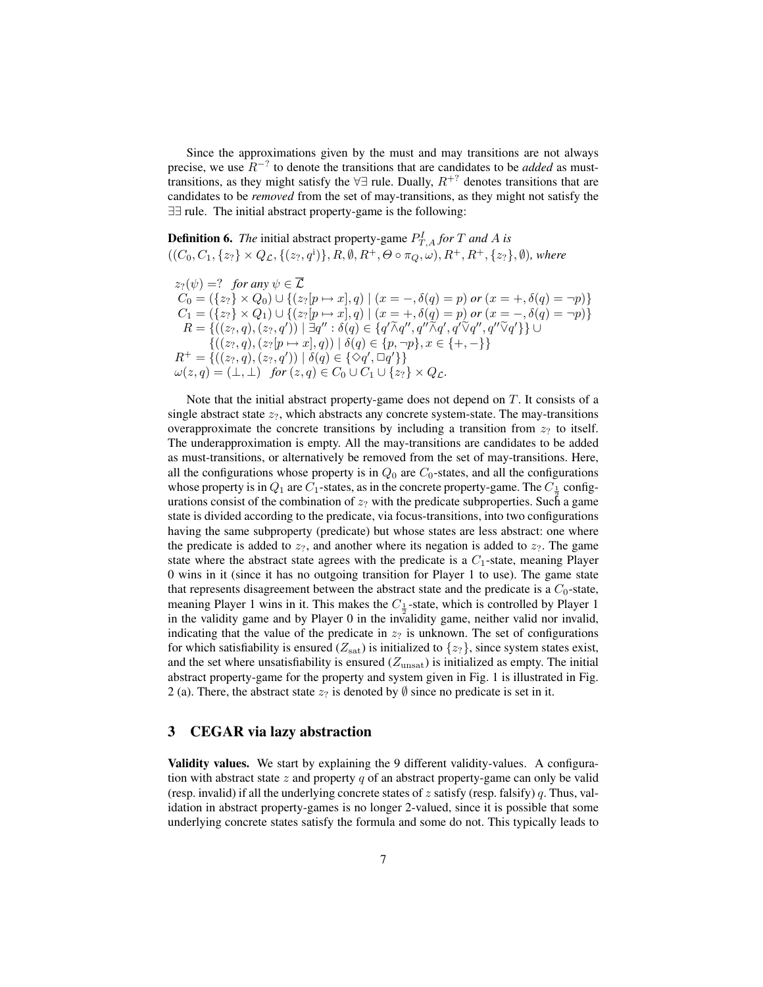Since the approximations given by the must and may transitions are not always precise, we use  $R^{-2}$  to denote the transitions that are candidates to be *added* as musttransitions, as they might satisfy the  $\forall \exists$  rule. Dually,  $R^{+?}$  denotes transitions that are candidates to be *removed* from the set of may-transitions, as they might not satisfy the ∃∃ rule. The initial abstract property-game is the following:

**Definition 6.** The initial abstract property-game  $P_{T,A}^I$  for  $T$  and  $A$  is  $((C_0, C_1, \{z_? \} \times Q_{\mathcal{L}}, \{(z_?, q^i)\}, R, \emptyset, R^+, \Theta \circ \pi_Q, \omega), R^+, R^+, \{z_?\}, \emptyset)$ *, where* 

 $z_?(\psi) = ?$  *for any*  $\psi \in \overline{\mathcal{L}}$  $C_0 = (\{z_? \} \times Q_0) \cup \{(z_?[p \mapsto x], q) \mid (x = -, \delta(q) = p) \text{ or } (x = +, \delta(q) = \neg p)\}\$  $C_1 = (\{z_? \} \times Q_1) \cup \{(z_? [p \mapsto x], q) \mid (x = +, \delta(q) = p) \text{ or } (x = -, \delta(q) = -p)\}\$  $R = \{((z_7, q), (z_7, q')) \mid \exists q'' : \delta(q) \in \{q' \widetilde{\wedge} q'', q'' \widetilde{\wedge} q', q' \widetilde{\vee} q'', q'' \widetilde{\vee} q'\}\} \cup$  $\{((z_7, q), (z_7[p \mapsto x], q)) \mid \delta(q) \in \{p, \neg p\}, x \in \{+, -\}\}\$  $R^+ = \{((z_7, q), (z_7, q')) \mid \delta(q) \in \{\Diamond q', \Box q'\}\}\$  $\omega(z,q) = (\perp, \perp)$  *for*  $(z,q) \in C_0 \cup C_1 \cup \{z_2\} \times Q_{\mathcal{L}}.$ 

Note that the initial abstract property-game does not depend on  $T$ . It consists of a single abstract state  $z_2$ , which abstracts any concrete system-state. The may-transitions overapproximate the concrete transitions by including a transition from  $z<sub>7</sub>$  to itself. The underapproximation is empty. All the may-transitions are candidates to be added as must-transitions, or alternatively be removed from the set of may-transitions. Here, all the configurations whose property is in  $Q_0$  are  $C_0$ -states, and all the configurations whose property is in  $Q_1$  are  $C_1$ -states, as in the concrete property-game. The  $C_{\frac{1}{2}}$  configurations consist of the combination of  $z_2$  with the predicate subproperties. Such a game state is divided according to the predicate, via focus-transitions, into two configurations having the same subproperty (predicate) but whose states are less abstract: one where the predicate is added to  $z<sub>7</sub>$ , and another where its negation is added to  $z<sub>7</sub>$ . The game state where the abstract state agrees with the predicate is a  $C_1$ -state, meaning Player 0 wins in it (since it has no outgoing transition for Player 1 to use). The game state that represents disagreement between the abstract state and the predicate is a  $C_0$ -state, meaning Player 1 wins in it. This makes the  $C_{\frac{1}{2}}$ -state, which is controlled by Player 1 in the validity game and by Player 0 in the invalidity game, neither valid nor invalid, indicating that the value of the predicate in  $z<sub>7</sub>$  is unknown. The set of configurations for which satisfiability is ensured  $(Z_{\text{sat}})$  is initialized to  $\{z\}$ , since system states exist, and the set where unsatisfiability is ensured  $(Z_{unsat})$  is initialized as empty. The initial abstract property-game for the property and system given in Fig. 1 is illustrated in Fig. 2 (a). There, the abstract state  $z<sub>2</sub>$  is denoted by  $\emptyset$  since no predicate is set in it.

## 3 CEGAR via lazy abstraction

Validity values. We start by explaining the 9 different validity-values. A configuration with abstract state z and property q of an abstract property-game can only be valid (resp. invalid) if all the underlying concrete states of z satisfy (resp. falsify) q. Thus, validation in abstract property-games is no longer 2-valued, since it is possible that some underlying concrete states satisfy the formula and some do not. This typically leads to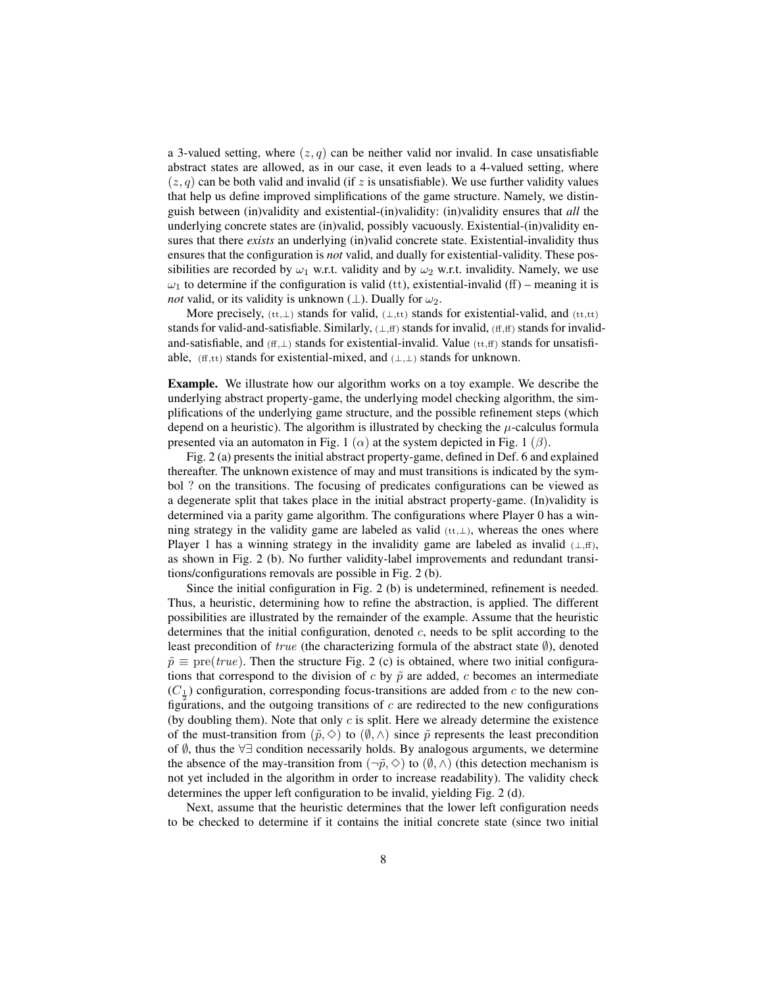a 3-valued setting, where  $(z, q)$  can be neither valid nor invalid. In case unsatisfiable abstract states are allowed, as in our case, it even leads to a 4-valued setting, where  $(z, q)$  can be both valid and invalid (if z is unsatisfiable). We use further validity values that help us define improved simplifications of the game structure. Namely, we distinguish between (in)validity and existential-(in)validity: (in)validity ensures that *all* the underlying concrete states are (in)valid, possibly vacuously. Existential-(in)validity ensures that there *exists* an underlying (in)valid concrete state. Existential-invalidity thus ensures that the configuration is *not* valid, and dually for existential-validity. These possibilities are recorded by  $\omega_1$  w.r.t. validity and by  $\omega_2$  w.r.t. invalidity. Namely, we use  $\omega_1$  to determine if the configuration is valid (tt), existential-invalid (ff) – meaning it is *not* valid, or its validity is unknown ( $\perp$ ). Dually for  $\omega_2$ .

More precisely,  $(t_t, \perp)$  stands for valid,  $(\perp, t_t)$  stands for existential-valid, and  $(t_t, t_t)$ stands for valid-and-satisfiable. Similarly,  $(\perp, f)$  stands for invalid,  $(f, f)$  stands for invalidand-satisfiable, and  $(f, \perp)$  stands for existential-invalid. Value  $(t, f, f)$  stands for unsatisfiable,  $(f, t)$  stands for existential-mixed, and  $(\perp, \perp)$  stands for unknown.

Example. We illustrate how our algorithm works on a toy example. We describe the underlying abstract property-game, the underlying model checking algorithm, the simplifications of the underlying game structure, and the possible refinement steps (which depend on a heuristic). The algorithm is illustrated by checking the  $\mu$ -calculus formula presented via an automaton in Fig. 1 ( $\alpha$ ) at the system depicted in Fig. 1 ( $\beta$ ).

Fig. 2 (a) presents the initial abstract property-game, defined in Def. 6 and explained thereafter. The unknown existence of may and must transitions is indicated by the symbol ? on the transitions. The focusing of predicates configurations can be viewed as a degenerate split that takes place in the initial abstract property-game. (In)validity is determined via a parity game algorithm. The configurations where Player 0 has a winning strategy in the validity game are labeled as valid  $(t, \perp)$ , whereas the ones where Player 1 has a winning strategy in the invalidity game are labeled as invalid  $(\perp, f)$ , as shown in Fig. 2 (b). No further validity-label improvements and redundant transitions/configurations removals are possible in Fig. 2 (b).

Since the initial configuration in Fig. 2 (b) is undetermined, refinement is needed. Thus, a heuristic, determining how to refine the abstraction, is applied. The different possibilities are illustrated by the remainder of the example. Assume that the heuristic determines that the initial configuration, denoted  $c$ , needs to be split according to the least precondition of true (the characterizing formula of the abstract state  $\emptyset$ ), denoted  $\tilde{p} \equiv \text{pre}(true)$ . Then the structure Fig. 2 (c) is obtained, where two initial configurations that correspond to the division of c by  $\tilde{p}$  are added, c becomes an intermediate  $(C_{\frac{1}{2}})$  configuration, corresponding focus-transitions are added from c to the new configurations, and the outgoing transitions of c are redirected to the new configurations (by doubling them). Note that only  $c$  is split. Here we already determine the existence of the must-transition from  $(\tilde{p}, \diamond)$  to  $(\emptyset, \wedge)$  since  $\tilde{p}$  represents the least precondition of ∅, thus the ∀∃ condition necessarily holds. By analogous arguments, we determine the absence of the may-transition from  $(\neg \tilde{p}, \Diamond)$  to  $(\emptyset, \land)$  (this detection mechanism is not yet included in the algorithm in order to increase readability). The validity check determines the upper left configuration to be invalid, yielding Fig. 2 (d).

Next, assume that the heuristic determines that the lower left configuration needs to be checked to determine if it contains the initial concrete state (since two initial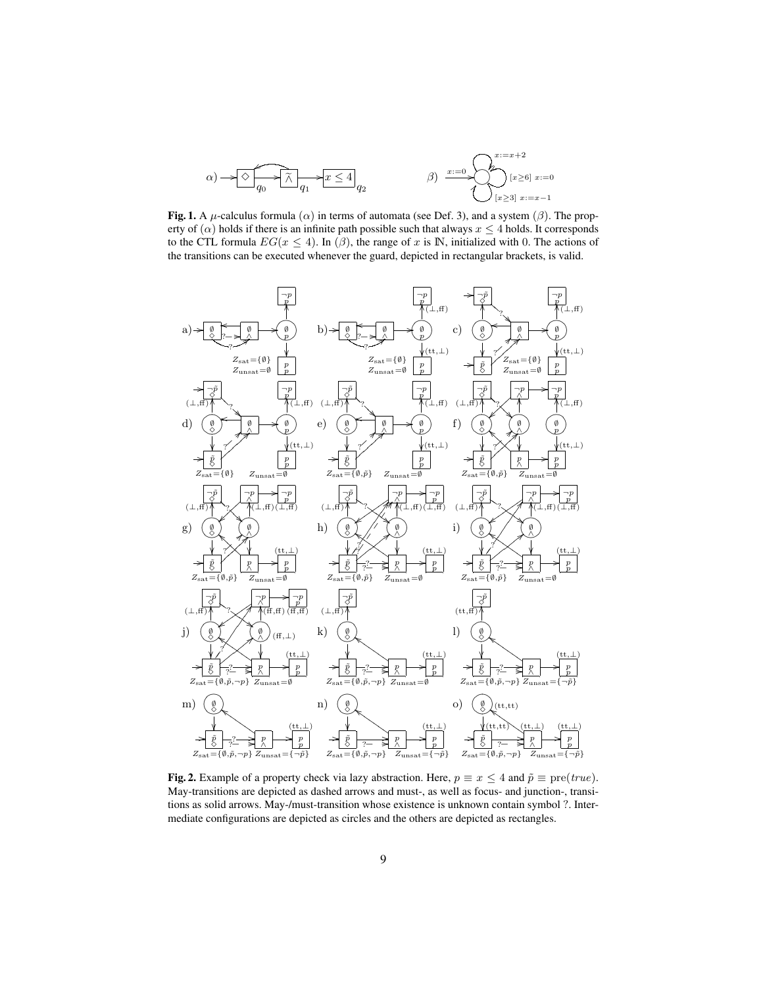$$
\alpha) \rightarrow \infty \qquad \qquad q_0 \qquad \qquad \alpha) \rightarrow x \le 4
$$
\n
$$
\alpha) \rightarrow x \le 4
$$
\n
$$
\beta) \qquad x := 0
$$
\n
$$
\beta) \qquad x := 0
$$
\n
$$
[x \ge 6] \ x := 0
$$
\n
$$
[x \ge 3] \ x := x - 1
$$

 $\cdot$   $\sim$ 

Fig. 1. A  $\mu$ -calculus formula  $(\alpha)$  in terms of automata (see Def. 3), and a system  $(\beta)$ . The property of  $(\alpha)$  holds if there is an infinite path possible such that always  $x \leq 4$  holds. It corresponds to the CTL formula  $EG(x \leq 4)$ . In  $(\beta)$ , the range of x is N, initialized with 0. The actions of the transitions can be executed whenever the guard, depicted in rectangular brackets, is valid.



**Fig. 2.** Example of a property check via lazy abstraction. Here,  $p \equiv x \leq 4$  and  $\tilde{p} \equiv \text{pre}(true)$ . May-transitions are depicted as dashed arrows and must-, as well as focus- and junction-, transitions as solid arrows. May-/must-transition whose existence is unknown contain symbol ?. Intermediate configurations are depicted as circles and the others are depicted as rectangles.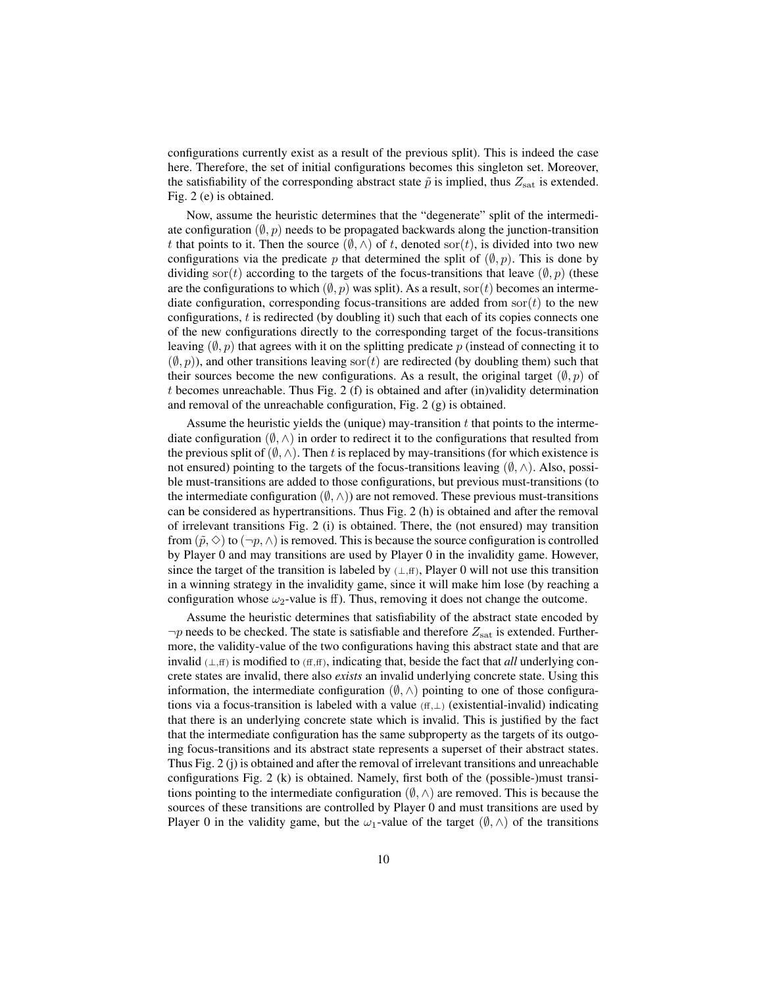configurations currently exist as a result of the previous split). This is indeed the case here. Therefore, the set of initial configurations becomes this singleton set. Moreover, the satisfiability of the corresponding abstract state  $\tilde{p}$  is implied, thus  $Z_{\text{sat}}$  is extended. Fig. 2 (e) is obtained.

Now, assume the heuristic determines that the "degenerate" split of the intermediate configuration  $(\emptyset, p)$  needs to be propagated backwards along the junction-transition t that points to it. Then the source  $(\emptyset, \wedge)$  of t, denoted sor(t), is divided into two new configurations via the predicate p that determined the split of  $(\emptyset, p)$ . This is done by dividing sor(t) according to the targets of the focus-transitions that leave  $(\emptyset, p)$  (these are the configurations to which  $(\emptyset, p)$  was split). As a result, sor(t) becomes an intermediate configuration, corresponding focus-transitions are added from  $\text{sort}(t)$  to the new configurations,  $t$  is redirected (by doubling it) such that each of its copies connects one of the new configurations directly to the corresponding target of the focus-transitions leaving  $(\emptyset, p)$  that agrees with it on the splitting predicate p (instead of connecting it to  $(\emptyset, p)$ ), and other transitions leaving sor(t) are redirected (by doubling them) such that their sources become the new configurations. As a result, the original target  $(\emptyset, p)$  of t becomes unreachable. Thus Fig. 2 (f) is obtained and after (in)validity determination and removal of the unreachable configuration, Fig. 2 (g) is obtained.

Assume the heuristic yields the (unique) may-transition  $t$  that points to the intermediate configuration  $(\emptyset, \wedge)$  in order to redirect it to the configurations that resulted from the previous split of  $(\emptyset, \wedge)$ . Then t is replaced by may-transitions (for which existence is not ensured) pointing to the targets of the focus-transitions leaving  $(\emptyset, \wedge)$ . Also, possible must-transitions are added to those configurations, but previous must-transitions (to the intermediate configuration  $(\emptyset, \wedge)$  are not removed. These previous must-transitions can be considered as hypertransitions. Thus Fig. 2 (h) is obtained and after the removal of irrelevant transitions Fig. 2 (i) is obtained. There, the (not ensured) may transition from  $(\tilde{p}, \diamond)$  to  $(\neg p, \wedge)$  is removed. This is because the source configuration is controlled by Player 0 and may transitions are used by Player 0 in the invalidity game. However, since the target of the transition is labeled by  $(\perp, f)$ , Player 0 will not use this transition in a winning strategy in the invalidity game, since it will make him lose (by reaching a configuration whose  $\omega_2$ -value is ff). Thus, removing it does not change the outcome.

Assume the heuristic determines that satisfiability of the abstract state encoded by  $\neg p$  needs to be checked. The state is satisfiable and therefore  $Z_{\text{sat}}$  is extended. Furthermore, the validity-value of the two configurations having this abstract state and that are invalid  $(L,ff)$  is modified to  $(f,ff)$ , indicating that, beside the fact that *all* underlying concrete states are invalid, there also *exists* an invalid underlying concrete state. Using this information, the intermediate configuration  $(\emptyset, \wedge)$  pointing to one of those configurations via a focus-transition is labeled with a value  $(f, \perp)$  (existential-invalid) indicating that there is an underlying concrete state which is invalid. This is justified by the fact that the intermediate configuration has the same subproperty as the targets of its outgoing focus-transitions and its abstract state represents a superset of their abstract states. Thus Fig. 2 (j) is obtained and after the removal of irrelevant transitions and unreachable configurations Fig. 2 (k) is obtained. Namely, first both of the (possible-)must transitions pointing to the intermediate configuration  $(\emptyset, \wedge)$  are removed. This is because the sources of these transitions are controlled by Player 0 and must transitions are used by Player 0 in the validity game, but the  $\omega_1$ -value of the target  $(\emptyset, \wedge)$  of the transitions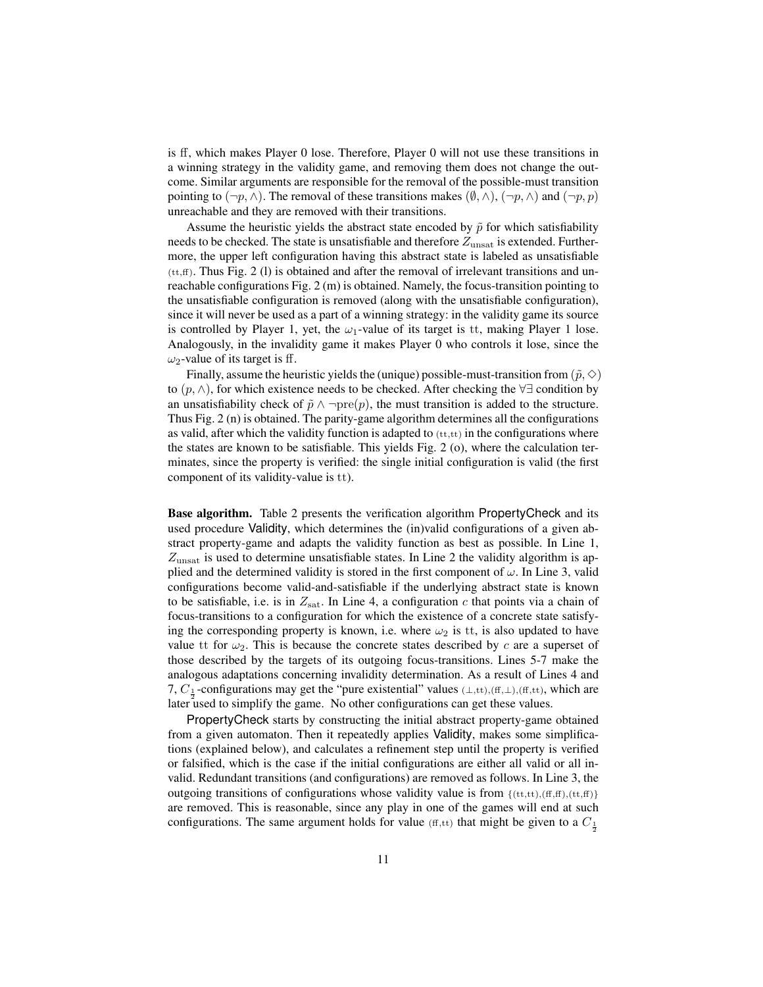is ff, which makes Player 0 lose. Therefore, Player 0 will not use these transitions in a winning strategy in the validity game, and removing them does not change the outcome. Similar arguments are responsible for the removal of the possible-must transition pointing to  $(\neg p, \land)$ . The removal of these transitions makes  $(\emptyset, \land), (\neg p, \land)$  and  $(\neg p, p)$ unreachable and they are removed with their transitions.

Assume the heuristic yields the abstract state encoded by  $\tilde{p}$  for which satisfiability needs to be checked. The state is unsatisfiable and therefore  $Z_{\text{unsat}}$  is extended. Furthermore, the upper left configuration having this abstract state is labeled as unsatisfiable  $(t_t, f_t)$ . Thus Fig. 2 (1) is obtained and after the removal of irrelevant transitions and unreachable configurations Fig. 2 (m) is obtained. Namely, the focus-transition pointing to the unsatisfiable configuration is removed (along with the unsatisfiable configuration), since it will never be used as a part of a winning strategy: in the validity game its source is controlled by Player 1, yet, the  $\omega_1$ -value of its target is tt, making Player 1 lose. Analogously, in the invalidity game it makes Player 0 who controls it lose, since the  $\omega_2$ -value of its target is ff.

Finally, assume the heuristic yields the (unique) possible-must-transition from  $(\tilde{p}, \diamondsuit)$ to  $(p, \land)$ , for which existence needs to be checked. After checking the ∀∃ condition by an unsatisfiability check of  $\tilde{p} \wedge \neg \text{pre}(p)$ , the must transition is added to the structure. Thus Fig. 2 (n) is obtained. The parity-game algorithm determines all the configurations as valid, after which the validity function is adapted to  $(t, t, t)$  in the configurations where the states are known to be satisfiable. This yields Fig. 2 (o), where the calculation terminates, since the property is verified: the single initial configuration is valid (the first component of its validity-value is tt).

Base algorithm. Table 2 presents the verification algorithm PropertyCheck and its used procedure Validity, which determines the (in)valid configurations of a given abstract property-game and adapts the validity function as best as possible. In Line 1,  $Z<sub>unsat</sub>$  is used to determine unsatisfiable states. In Line 2 the validity algorithm is applied and the determined validity is stored in the first component of  $\omega$ . In Line 3, valid configurations become valid-and-satisfiable if the underlying abstract state is known to be satisfiable, i.e. is in  $Z_{\text{sat}}$ . In Line 4, a configuration c that points via a chain of focus-transitions to a configuration for which the existence of a concrete state satisfying the corresponding property is known, i.e. where  $\omega_2$  is tt, is also updated to have value tt for  $\omega_2$ . This is because the concrete states described by c are a superset of those described by the targets of its outgoing focus-transitions. Lines 5-7 make the analogous adaptations concerning invalidity determination. As a result of Lines 4 and 7,  $C_1$ -configurations may get the "pure existential" values ( $\perp$ ,tt),(ff, $\perp$ ),(ff,tt), which are later used to simplify the game. No other configurations can get these values.

PropertyCheck starts by constructing the initial abstract property-game obtained from a given automaton. Then it repeatedly applies Validity, makes some simplifications (explained below), and calculates a refinement step until the property is verified or falsified, which is the case if the initial configurations are either all valid or all invalid. Redundant transitions (and configurations) are removed as follows. In Line 3, the outgoing transitions of configurations whose validity value is from  $\{(tt,ttt),(ff,f),(tt,ff)\}$ are removed. This is reasonable, since any play in one of the games will end at such configurations. The same argument holds for value ( $(f, t)$ ) that might be given to a  $C_{\frac{1}{2}}$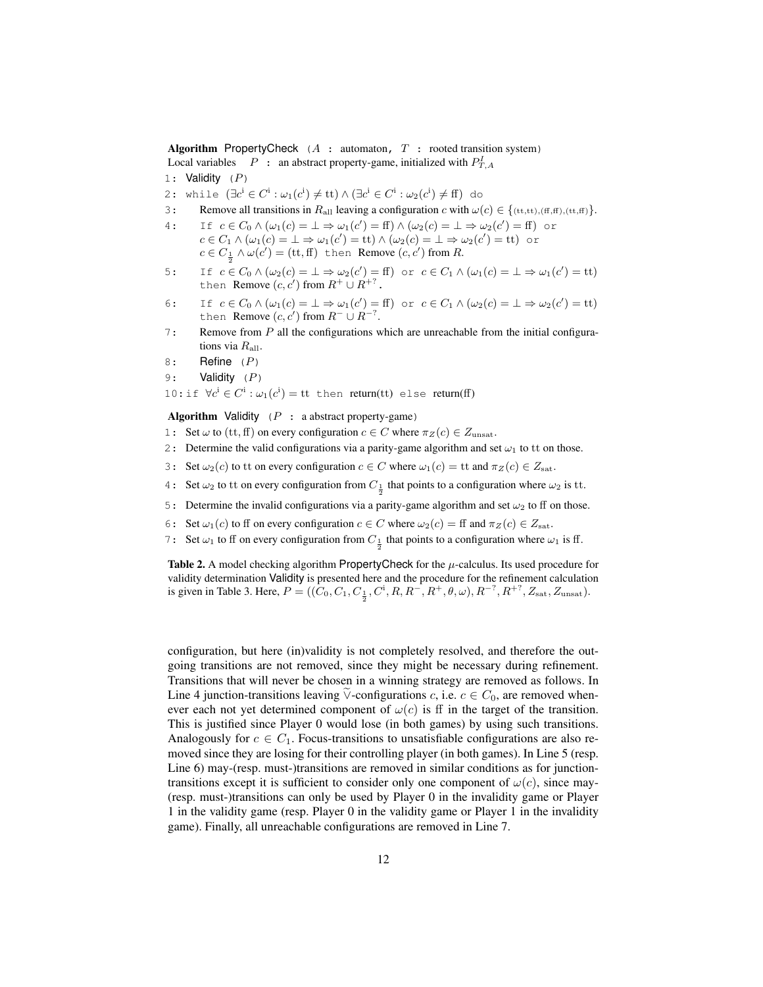Algorithm PropertyCheck ( $A$ : automaton,  $T$ : rooted transition system) Local variables  $P$ : an abstract property-game, initialized with  $P_{T,A}^I$ 

- 1: Validity  $(P)$
- 2: while  $(\exists c^i \in C^i : \omega_1(c^i) \neq \text{tt}) \wedge (\exists c^i \in C^i : \omega_2(c^i) \neq \text{ff})$  do
- 3: Remove all transitions in  $R_{\text{all}}$  leaving a configuration c with  $\omega(c) \in \{\text{(tt,tt),(ff,ff),(tt,ff)}\}.$
- 4: If  $c \in C_0 \wedge (\omega_1(c) = \bot \Rightarrow \omega_1(c') = \text{ff}) \wedge (\omega_2(c) = \bot \Rightarrow \omega_2(c') = \text{ff})$  or  $c \in C_1 \wedge (\omega_1(c) = \bot \Rightarrow \omega_1(c') = \text{tt}) \wedge (\omega_2(c) = \bot \Rightarrow \omega_2(c') = \text{tt})$  or  $c \in C_1 \wedge \omega(c') = (\text{tt}, \text{ff})$  then Remove  $(c, c')$  from R.
- 5: If  $c \in C_0 \wedge (\omega_2(c) = \bot \Rightarrow \omega_2(c') = \text{ff})$  or  $c \in C_1 \wedge (\omega_1(c) = \bot \Rightarrow \omega_1(c') = \text{tt})$ then Remove  $(c, c')$  from  $R^+ \cup R^{+?}$ .
- 6: If  $c \in C_0 \wedge (\omega_1(c) = \bot \Rightarrow \omega_1(c') = \text{ff})$  or  $c \in C_1 \wedge (\omega_2(c) = \bot \Rightarrow \omega_2(c') = \text{tt})$ then Remove  $(c, c')$  from  $R^- \cup R^{-?}$ .
- 7: Remove from P all the configurations which are unreachable from the initial configurations via  $R_{\text{all}}$ .
- 8: Refine  $(P)$
- 9: Validity  $(P)$
- 10:if  $\forall c^i \in C^i : \omega_1(c^i) = \text{tt}$  then return(tt) else return(ff)

**Algorithm Validity** ( $P$  : a abstract property-game)

- 1: Set  $\omega$  to (tt, ff) on every configuration  $c \in C$  where  $\pi_Z(c) \in Z_{\text{unsat}}$ .
- 2: Determine the valid configurations via a parity-game algorithm and set  $\omega_1$  to tt on those.
- 3: Set  $\omega_2(c)$  to tt on every configuration  $c \in C$  where  $\omega_1(c) = \text{tt}$  and  $\pi_Z(c) \in Z_{\text{sat}}$ .
- 4: Set  $\omega_2$  to tt on every configuration from  $C_{\frac{1}{2}}$  that points to a configuration where  $\omega_2$  is tt.
- 5: Determine the invalid configurations via a parity-game algorithm and set  $\omega_2$  to ff on those.
- 6: Set  $\omega_1(c)$  to ff on every configuration  $c \in C$  where  $\omega_2(c) = f$  and  $\pi_Z(c) \in Z_{\text{sat}}$ .
- 7: Set  $\omega_1$  to ff on every configuration from  $C_{\frac{1}{2}}$  that points to a configuration where  $\omega_1$  is ff.

Table 2. A model checking algorithm PropertyCheck for the  $\mu$ -calculus. Its used procedure for validity determination Validity is presented here and the procedure for the refinement calculation is given in Table 3. Here,  $P = ((C_0, C_1, C_{\frac{1}{2}}, C^i, R, R^-, R^+, \theta, \omega), R^{-7}, R^{+7}, Z_{\text{sat}}, Z_{\text{unsat}})$ .

configuration, but here (in)validity is not completely resolved, and therefore the outgoing transitions are not removed, since they might be necessary during refinement. Transitions that will never be chosen in a winning strategy are removed as follows. In Line 4 junction-transitions leaving  $\tilde{\vee}$ -configurations *c*, i.e. *c* ∈ *C*<sub>0</sub>, are removed whenever each not yet determined component of  $\omega(c)$  is ff in the target of the transition. This is justified since Player 0 would lose (in both games) by using such transitions. Analogously for  $c \in C_1$ . Focus-transitions to unsatisfiable configurations are also removed since they are losing for their controlling player (in both games). In Line 5 (resp. Line 6) may-(resp. must-)transitions are removed in similar conditions as for junctiontransitions except it is sufficient to consider only one component of  $\omega(c)$ , since may-(resp. must-)transitions can only be used by Player 0 in the invalidity game or Player 1 in the validity game (resp. Player 0 in the validity game or Player 1 in the invalidity game). Finally, all unreachable configurations are removed in Line 7.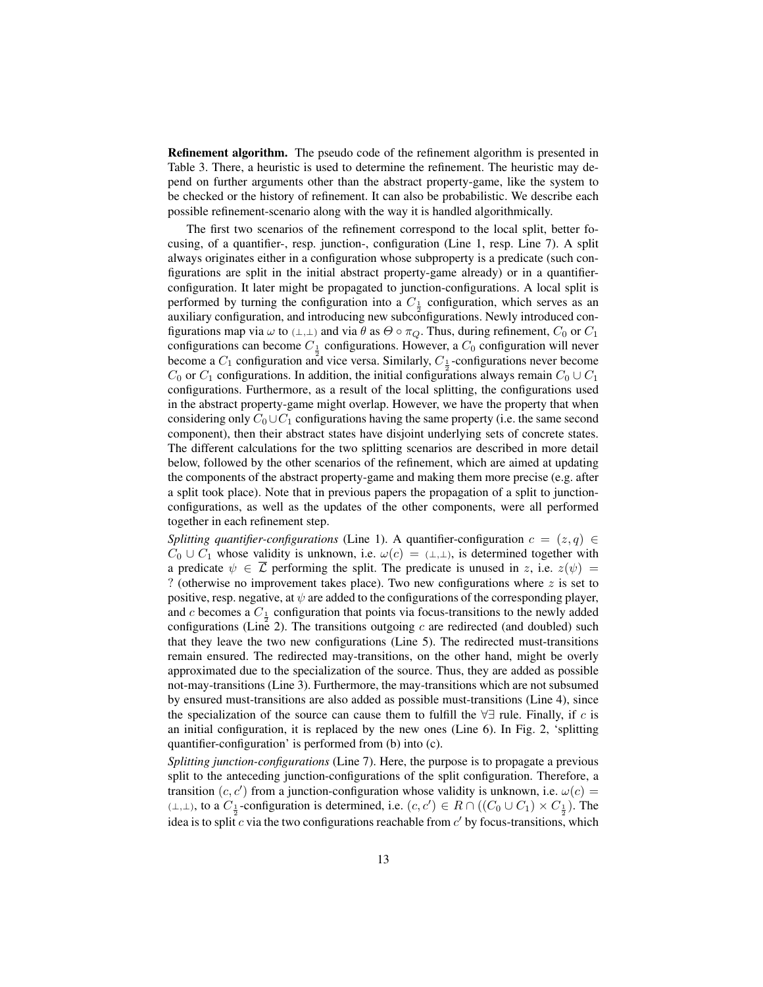Refinement algorithm. The pseudo code of the refinement algorithm is presented in Table 3. There, a heuristic is used to determine the refinement. The heuristic may depend on further arguments other than the abstract property-game, like the system to be checked or the history of refinement. It can also be probabilistic. We describe each possible refinement-scenario along with the way it is handled algorithmically.

The first two scenarios of the refinement correspond to the local split, better focusing, of a quantifier-, resp. junction-, configuration (Line 1, resp. Line 7). A split always originates either in a configuration whose subproperty is a predicate (such configurations are split in the initial abstract property-game already) or in a quantifierconfiguration. It later might be propagated to junction-configurations. A local split is performed by turning the configuration into a  $C_{\frac{1}{2}}$  configuration, which serves as an auxiliary configuration, and introducing new subconfigurations. Newly introduced configurations map via  $\omega$  to  $(\perp,\perp)$  and via  $\theta$  as  $\Theta \circ \pi_Q$ . Thus, during refinement,  $C_0$  or  $C_1$ configurations can become  $C_{\frac{1}{2}}$  configurations. However, a  $C_0$  configuration will never become a  $C_1$  configuration and vice versa. Similarly,  $C_{\frac{1}{2}}$ -configurations never become  $C_0$  or  $C_1$  configurations. In addition, the initial configurations always remain  $C_0 \cup C_1$ configurations. Furthermore, as a result of the local splitting, the configurations used in the abstract property-game might overlap. However, we have the property that when considering only  $C_0 \cup C_1$  configurations having the same property (i.e. the same second component), then their abstract states have disjoint underlying sets of concrete states. The different calculations for the two splitting scenarios are described in more detail below, followed by the other scenarios of the refinement, which are aimed at updating the components of the abstract property-game and making them more precise (e.g. after a split took place). Note that in previous papers the propagation of a split to junctionconfigurations, as well as the updates of the other components, were all performed together in each refinement step.

*Splitting quantifier-configurations* (Line 1). A quantifier-configuration  $c = (z, q) \in$  $C_0 \cup C_1$  whose validity is unknown, i.e.  $\omega(c) = (\perp, \perp)$ , is determined together with a predicate  $\psi \in \overline{\mathcal{L}}$  performing the split. The predicate is unused in z, i.e.  $z(\psi) =$ ? (otherwise no improvement takes place). Two new configurations where  $z$  is set to positive, resp. negative, at  $\psi$  are added to the configurations of the corresponding player, and c becomes a  $C_{\frac{1}{2}}$  configuration that points via focus-transitions to the newly added configurations (Line 2). The transitions outgoing  $c$  are redirected (and doubled) such that they leave the two new configurations (Line 5). The redirected must-transitions remain ensured. The redirected may-transitions, on the other hand, might be overly approximated due to the specialization of the source. Thus, they are added as possible not-may-transitions (Line 3). Furthermore, the may-transitions which are not subsumed by ensured must-transitions are also added as possible must-transitions (Line 4), since the specialization of the source can cause them to fulfill the  $\forall \exists$  rule. Finally, if c is an initial configuration, it is replaced by the new ones (Line 6). In Fig. 2, 'splitting quantifier-configuration' is performed from (b) into (c).

*Splitting junction-configurations* (Line 7). Here, the purpose is to propagate a previous split to the anteceding junction-configurations of the split configuration. Therefore, a transition  $(c, c')$  from a junction-configuration whose validity is unknown, i.e.  $\omega(c)$  = (⊥,⊥), to a  $C_1$ -configuration is determined, i.e.  $(c, c') \in R \cap ((C_0 \cup C_1) \times C_1)$ . The idea is to split c via the two configurations reachable from  $c'$  by focus-transitions, which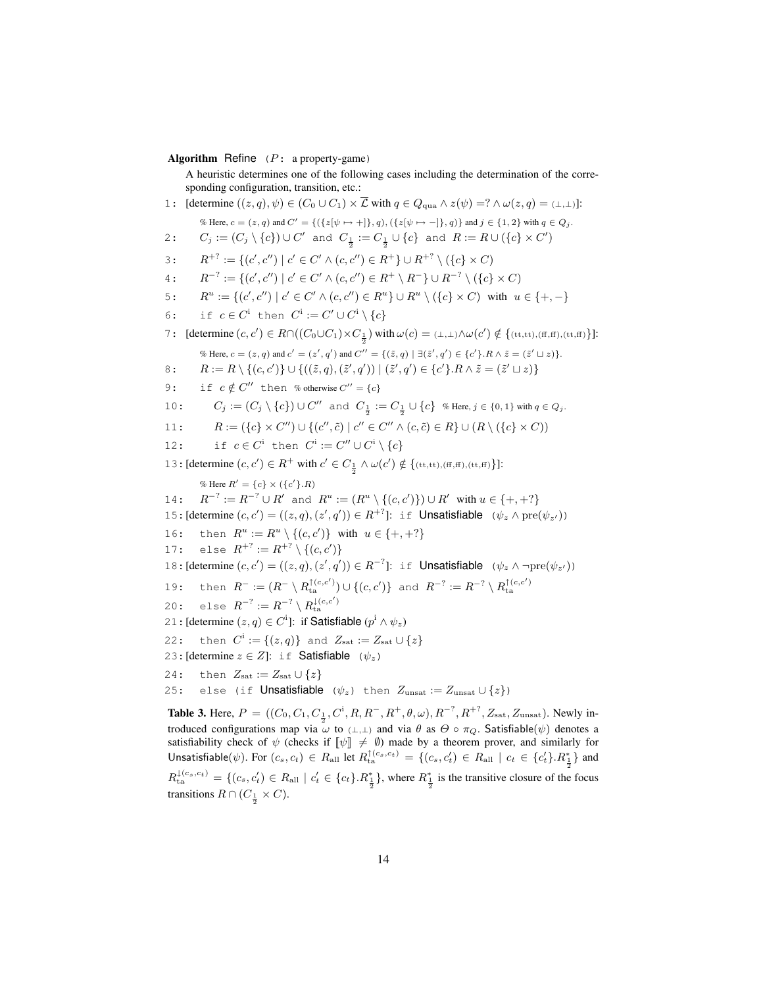Algorithm Refine  $(P:$  a property-game)

A heuristic determines one of the following cases including the determination of the corresponding configuration, transition, etc.:

1: [determine 
$$
((z, q), \psi) \in (C_0 \cup C_1) \times \overline{L}
$$
 with  $q \in Q_{\text{qua}} \wedge z(\psi) = ? \wedge \omega(z, q) = (\bot, \bot)$ ]:  
\n     \$Here,  $c = (z, q)$  and  $C' = \{(\{z[\psi \mapsto +]\}, q), (\{z[\psi \mapsto -]\}, q)\}$  and  $j \in \{1, 2\}$  with  $q \in Q_j$ .  
\n2:  $C_j := (C_j \setminus \{c\}) \cup C'$  and  $C_j = C_j \cup \{c\}$  and  $R := R \cup (\{c\} \times C')$   
\n3:  $R^{+7} := \{ (c', c'') \mid c' \in C' \wedge (c, c'') \in R^+ \} \cup R^{+7} \setminus (\{c\} \times C)$   
\n4:  $R^{-2} := \{ (c', c'') \mid c' \in C' \wedge (c, c'') \in R^+ \} \cup R^{-7} \setminus (\{c\} \times C)$   
\n5:  $R^u := \{ (c', c'') \mid c' \in C' \wedge (c, c'') \in R^+ \} \cup R^{+7} \setminus (\{c\} \times C)$   
\n6:  $R^u := \{ (c', c'') \mid c' \in C' \wedge (c, c'') \in R^+ \} \cup R^+ \setminus (\{c\} \times C)$  with  $u \in \{+, -\}$   
\n6:  $\text{if } c \in C^1 \text{ then } C^1 := C' \cup C^1 \setminus \{c\}$   
\n7: [determine  $(c, c) \in R \cap ((C_0 \cup C_1) \times C_j \text{ and } W^u \setminus (c) = (\bot, \bot) \wedge \omega(c') \notin \{(\text{t}, \text{t}, \text{t}, \text{t}, \text{t}, \text{t})\}$ ]:  
\n     \$Here,  $c = (z, q)$  and  $c' = (z', q)$  and  $C'' = \{(\bar{z}, q)$ 

troduced configurations map via  $\omega$  to  $(\perp,\perp)$  and via  $\theta$  as  $\Theta \circ \pi_Q$ . Satisfiable $(\psi)$  denotes a satisfiability check of  $\psi$  (checks if  $[\psi] \neq \emptyset$ ) made by a theorem prover, and similarly for Unsatisfiable $(\psi)$ . For  $(c_s, c_t) \in R_{\text{all}}$  let  $R_{\text{ta}}^{\uparrow (c_s, c_t)} = \{(c_s, c'_t) \in R_{\text{all}} \mid c_t \in \{c'_t\}. R_{\frac{1}{2}}^*\}$  and  $R_{\text{ta}}^{\downarrow(c_s,c_t)} = \{(c_s, c'_t) \in R_{\text{all}} \mid c'_t \in \{c_t\}.R_{\frac{1}{2}}^*\}$ , where  $R_{\frac{1}{2}}^*$  is the transitive closure of the focus transitions  $R \cap (C_{\frac{1}{2}} \times C)$ .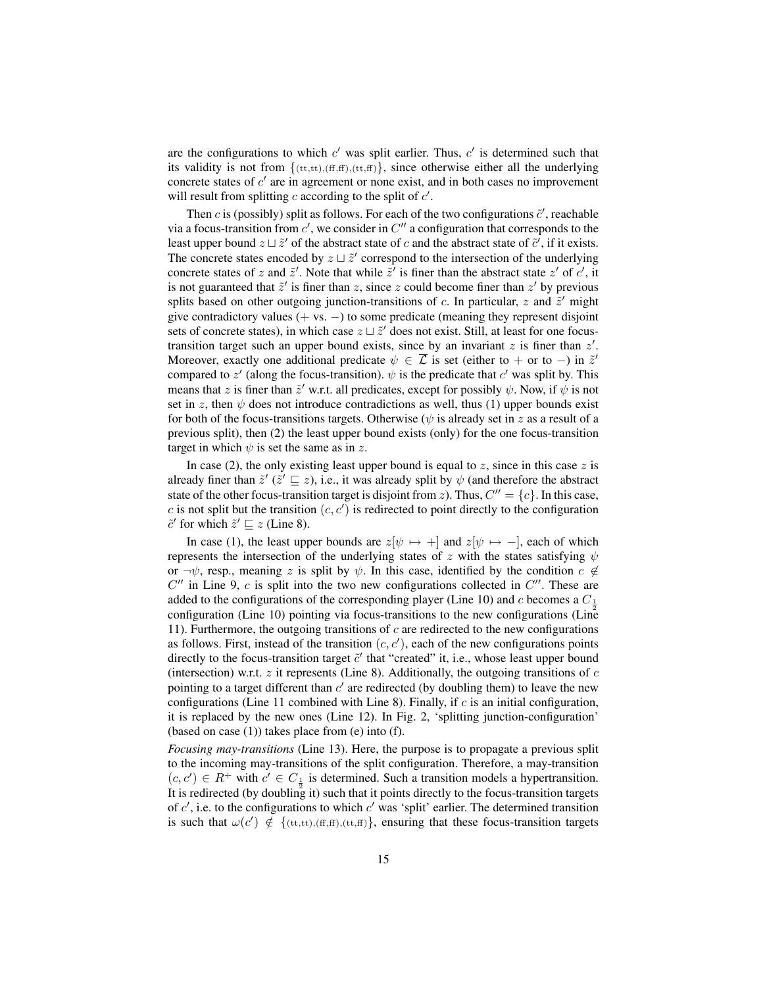are the configurations to which  $c'$  was split earlier. Thus,  $c'$  is determined such that its validity is not from  $\{(t_t,t_t),(\text{ff},\text{ff}),(\text{tf},\text{ff})\}$ , since otherwise either all the underlying concrete states of  $c'$  are in agreement or none exist, and in both cases no improvement will result from splitting  $c$  according to the split of  $c'$ .

Then c is (possibly) split as follows. For each of the two configurations  $\tilde{c}'$ , reachable via a focus-transition from  $c'$ , we consider in  $C''$  a configuration that corresponds to the least upper bound  $z \sqcup \tilde{z}'$  of the abstract state of c and the abstract state of  $\tilde{c}'$ , if it exists. The concrete states encoded by  $z \sqcup \tilde{z}'$  correspond to the intersection of the underlying concrete states of z and  $\tilde{z}$ . Note that while  $\tilde{z}$  is finer than the abstract state  $z'$  of  $c'$ , it is not guaranteed that  $\tilde{z}'$  is finer than z, since z could become finer than  $z'$  by previous splits based on other outgoing junction-transitions of  $c$ . In particular,  $z$  and  $\tilde{z}'$  might give contradictory values  $(+ \text{ vs. } -)$  to some predicate (meaning they represent disjoint sets of concrete states), in which case  $z \sqcup \tilde{z}'$  does not exist. Still, at least for one focustransition target such an upper bound exists, since by an invariant  $z$  is finer than  $z'$ . Moreover, exactly one additional predicate  $\psi \in \overline{\mathcal{L}}$  is set (either to + or to -) in  $\tilde{z}'$ compared to  $z'$  (along the focus-transition).  $\psi$  is the predicate that  $c'$  was split by. This means that z is finer than  $\tilde{z}'$  w.r.t. all predicates, except for possibly  $\psi$ . Now, if  $\psi$  is not set in z, then  $\psi$  does not introduce contradictions as well, thus (1) upper bounds exist for both of the focus-transitions targets. Otherwise ( $\psi$  is already set in z as a result of a previous split), then (2) the least upper bound exists (only) for the one focus-transition target in which  $\psi$  is set the same as in z.

In case (2), the only existing least upper bound is equal to  $z$ , since in this case  $z$  is already finer than  $\tilde{z}'$  ( $\tilde{z}' \sqsubseteq z$ ), i.e., it was already split by  $\psi$  (and therefore the abstract state of the other focus-transition target is disjoint from z). Thus,  $C'' = \{c\}$ . In this case, c is not split but the transition  $(c, c')$  is redirected to point directly to the configuration  $\tilde{c}'$  for which  $\tilde{z}' \sqsubseteq z$  (Line 8).

In case (1), the least upper bounds are  $z[\psi \mapsto +]$  and  $z[\psi \mapsto -]$ , each of which represents the intersection of the underlying states of z with the states satisfying  $\psi$ or  $\neg \psi$ , resp., meaning z is split by  $\psi$ . In this case, identified by the condition  $c \notin$  $C''$  in Line 9, c is split into the two new configurations collected in  $C''$ . These are added to the configurations of the corresponding player (Line 10) and c becomes a  $C_{\frac{1}{2}}$ configuration (Line 10) pointing via focus-transitions to the new configurations (Line 11). Furthermore, the outgoing transitions of  $c$  are redirected to the new configurations as follows. First, instead of the transition  $(c, c')$ , each of the new configurations points directly to the focus-transition target  $\tilde{c}'$  that "created" it, i.e., whose least upper bound (intersection) w.r.t. z it represents (Line 8). Additionally, the outgoing transitions of  $c$ pointing to a target different than  $c'$  are redirected (by doubling them) to leave the new configurations (Line 11 combined with Line 8). Finally, if  $c$  is an initial configuration, it is replaced by the new ones (Line 12). In Fig. 2, 'splitting junction-configuration' (based on case (1)) takes place from (e) into (f).

*Focusing may-transitions* (Line 13). Here, the purpose is to propagate a previous split to the incoming may-transitions of the split configuration. Therefore, a may-transition  $(c, c') \in R^+$  with  $c' \in C_{\frac{1}{2}}$  is determined. Such a transition models a hypertransition. It is redirected (by doubling it) such that it points directly to the focus-transition targets of  $c'$ , i.e. to the configurations to which  $c'$  was 'split' earlier. The determined transition is such that  $\omega(c') \notin \{(\text{tt},\text{tt},\text{ft},\text{ft},\text{ft},\text{ft},\text{ft},\text{ft})\}$ , ensuring that these focus-transition targets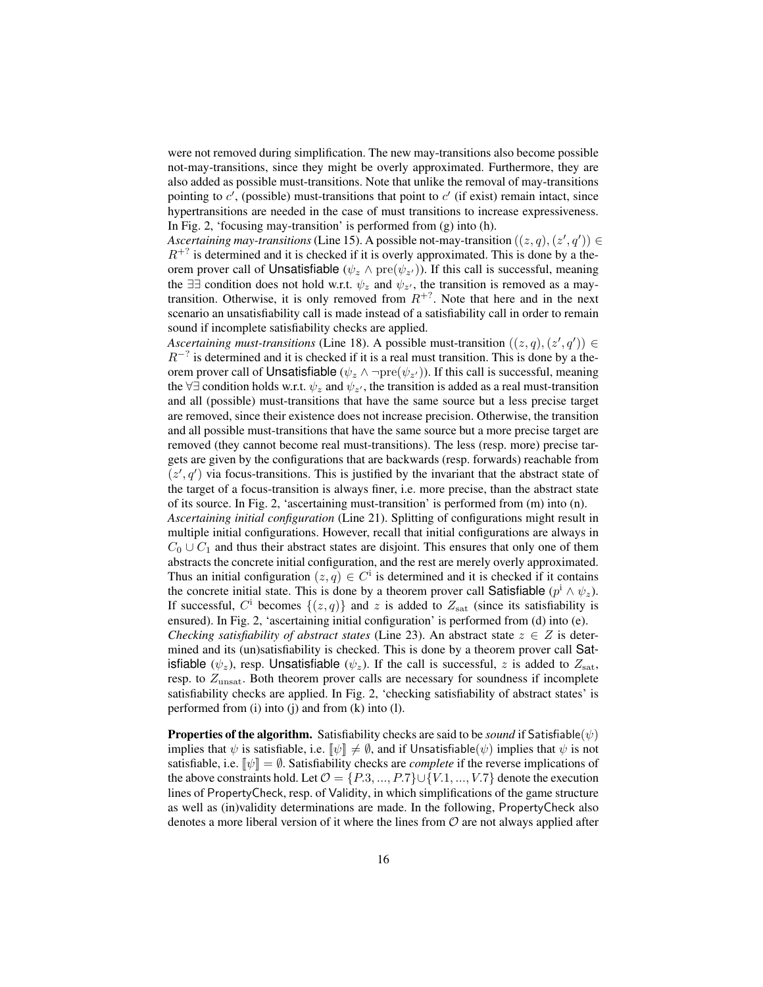were not removed during simplification. The new may-transitions also become possible not-may-transitions, since they might be overly approximated. Furthermore, they are also added as possible must-transitions. Note that unlike the removal of may-transitions pointing to  $c'$ , (possible) must-transitions that point to  $c'$  (if exist) remain intact, since hypertransitions are needed in the case of must transitions to increase expressiveness. In Fig. 2, 'focusing may-transition' is performed from (g) into (h).

*Ascertaining may-transitions* (Line 15). A possible not-may-transition  $((z, q), (z', q')) \in$  $R^{+?}$  is determined and it is checked if it is overly approximated. This is done by a theorem prover call of Unsatisfiable ( $\psi_z \wedge \text{pre}(\psi_{z'})$ ). If this call is successful, meaning the  $\exists \exists$  condition does not hold w.r.t.  $\psi_z$  and  $\psi_{z'}$ , the transition is removed as a maytransition. Otherwise, it is only removed from  $R^{+?}$ . Note that here and in the next scenario an unsatisfiability call is made instead of a satisfiability call in order to remain sound if incomplete satisfiability checks are applied.

*Ascertaining must-transitions* (Line 18). A possible must-transition  $((z,q),(z',q')) \in$  $R^{-7}$  is determined and it is checked if it is a real must transition. This is done by a theorem prover call of Unsatisfiable ( $\psi_z \wedge \neg \text{pre}(\psi_{z'})$ ). If this call is successful, meaning the  $\forall \exists$  condition holds w.r.t.  $\psi_z$  and  $\psi_{z'}$ , the transition is added as a real must-transition and all (possible) must-transitions that have the same source but a less precise target are removed, since their existence does not increase precision. Otherwise, the transition and all possible must-transitions that have the same source but a more precise target are removed (they cannot become real must-transitions). The less (resp. more) precise targets are given by the configurations that are backwards (resp. forwards) reachable from  $(z', q')$  via focus-transitions. This is justified by the invariant that the abstract state of the target of a focus-transition is always finer, i.e. more precise, than the abstract state of its source. In Fig. 2, 'ascertaining must-transition' is performed from (m) into (n). *Ascertaining initial configuration* (Line 21). Splitting of configurations might result in multiple initial configurations. However, recall that initial configurations are always in  $C_0 \cup C_1$  and thus their abstract states are disjoint. This ensures that only one of them abstracts the concrete initial configuration, and the rest are merely overly approximated. Thus an initial configuration  $(z, q) \in C^i$  is determined and it is checked if it contains the concrete initial state. This is done by a theorem prover call Satisfiable  $(p<sup>i</sup> \wedge \psi_z)$ . If successful,  $C^i$  becomes  $\{(z,q)\}\$  and z is added to  $Z_{\text{sat}}$  (since its satisfiability is ensured). In Fig. 2, 'ascertaining initial configuration' is performed from (d) into (e). *Checking satisfiability of abstract states* (Line 23). An abstract state  $z \in Z$  is determined and its (un)satisfiability is checked. This is done by a theorem prover call Satisfiable ( $\psi_z$ ), resp. Unsatisfiable ( $\psi_z$ ). If the call is successful, z is added to  $Z_{\text{sat}}$ , resp. to  $Z<sub>unsat</sub>$ . Both theorem prover calls are necessary for soundness if incomplete satisfiability checks are applied. In Fig. 2, 'checking satisfiability of abstract states' is performed from (i) into (j) and from (k) into (l).

**Properties of the algorithm.** Satisfiability checks are said to be *sound* if Satisfiable( $\psi$ ) implies that  $\psi$  is satisfiable, i.e.  $\llbracket \psi \rrbracket \neq \emptyset$ , and if Unsatisfiable( $\psi$ ) implies that  $\psi$  is not satisfiable, i.e.  $[\psi] = \emptyset$ . Satisfiability checks are *complete* if the reverse implications of the above constraints hold. Let  $\mathcal{O} = \{P.3, ..., P.7\} \cup \{V.1, ..., V.7\}$  denote the execution lines of PropertyCheck, resp. of Validity, in which simplifications of the game structure as well as (in)validity determinations are made. In the following, PropertyCheck also denotes a more liberal version of it where the lines from  $\mathcal O$  are not always applied after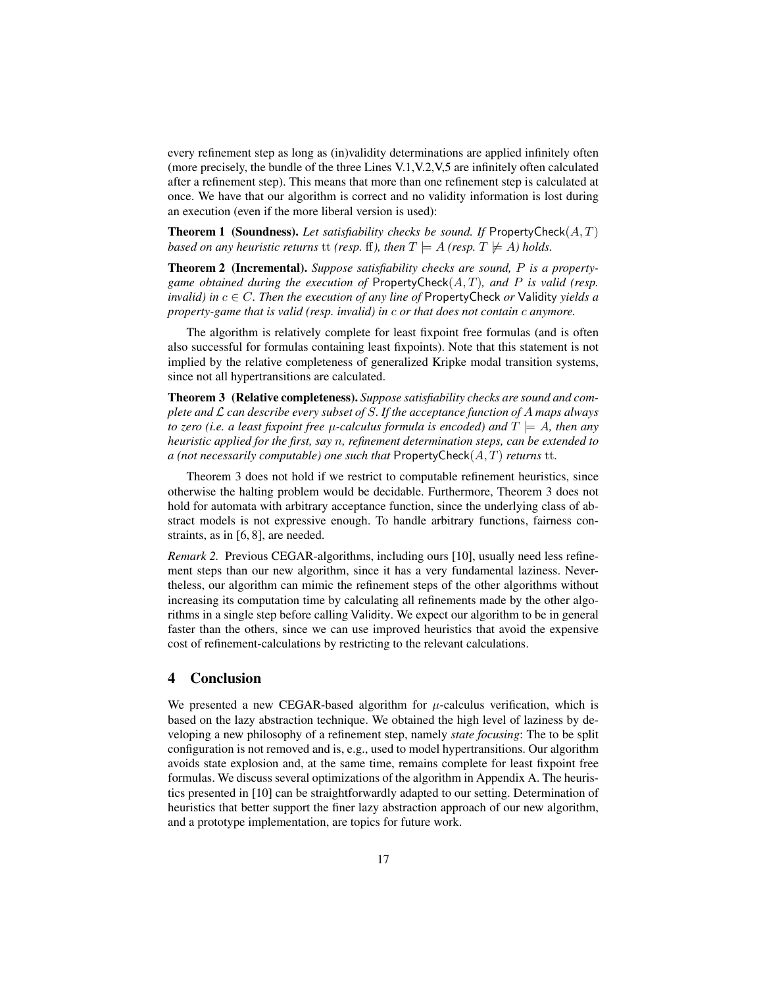every refinement step as long as (in)validity determinations are applied infinitely often (more precisely, the bundle of the three Lines V.1,V.2,V,5 are infinitely often calculated after a refinement step). This means that more than one refinement step is calculated at once. We have that our algorithm is correct and no validity information is lost during an execution (even if the more liberal version is used):

Theorem 1 (Soundness). *Let satisfiability checks be sound. If* PropertyCheck(A, T) *based on any heuristic returns*  $\text{tt}$  *(resp.*  $\text{ft}$ *), then*  $T \models A$  *(resp.*  $T \not\models A$ *) holds.* 

Theorem 2 (Incremental). *Suppose satisfiability checks are sound,* P *is a propertygame obtained during the execution of* PropertyCheck(A, T)*, and* P *is valid (resp. invalid) in*  $c \in C$ *. Then the execution of any line of* PropertyCheck *or* Validity *yields a property-game that is valid (resp. invalid) in* c *or that does not contain* c *anymore.*

The algorithm is relatively complete for least fixpoint free formulas (and is often also successful for formulas containing least fixpoints). Note that this statement is not implied by the relative completeness of generalized Kripke modal transition systems, since not all hypertransitions are calculated.

Theorem 3 (Relative completeness). *Suppose satisfiability checks are sound and complete and* L *can describe every subset of* S*. If the acceptance function of* A *maps always to zero (i.e. a least fixpoint free*  $\mu$ *-calculus formula is encoded) and*  $T \models A$ *, then any heuristic applied for the first, say* n*, refinement determination steps, can be extended to a (not necessarily computable) one such that* PropertyCheck(A, T) *returns* tt*.*

Theorem 3 does not hold if we restrict to computable refinement heuristics, since otherwise the halting problem would be decidable. Furthermore, Theorem 3 does not hold for automata with arbitrary acceptance function, since the underlying class of abstract models is not expressive enough. To handle arbitrary functions, fairness constraints, as in [6, 8], are needed.

*Remark 2.* Previous CEGAR-algorithms, including ours [10], usually need less refinement steps than our new algorithm, since it has a very fundamental laziness. Nevertheless, our algorithm can mimic the refinement steps of the other algorithms without increasing its computation time by calculating all refinements made by the other algorithms in a single step before calling Validity. We expect our algorithm to be in general faster than the others, since we can use improved heuristics that avoid the expensive cost of refinement-calculations by restricting to the relevant calculations.

# 4 Conclusion

We presented a new CEGAR-based algorithm for  $\mu$ -calculus verification, which is based on the lazy abstraction technique. We obtained the high level of laziness by developing a new philosophy of a refinement step, namely *state focusing*: The to be split configuration is not removed and is, e.g., used to model hypertransitions. Our algorithm avoids state explosion and, at the same time, remains complete for least fixpoint free formulas. We discuss several optimizations of the algorithm in Appendix A. The heuristics presented in [10] can be straightforwardly adapted to our setting. Determination of heuristics that better support the finer lazy abstraction approach of our new algorithm, and a prototype implementation, are topics for future work.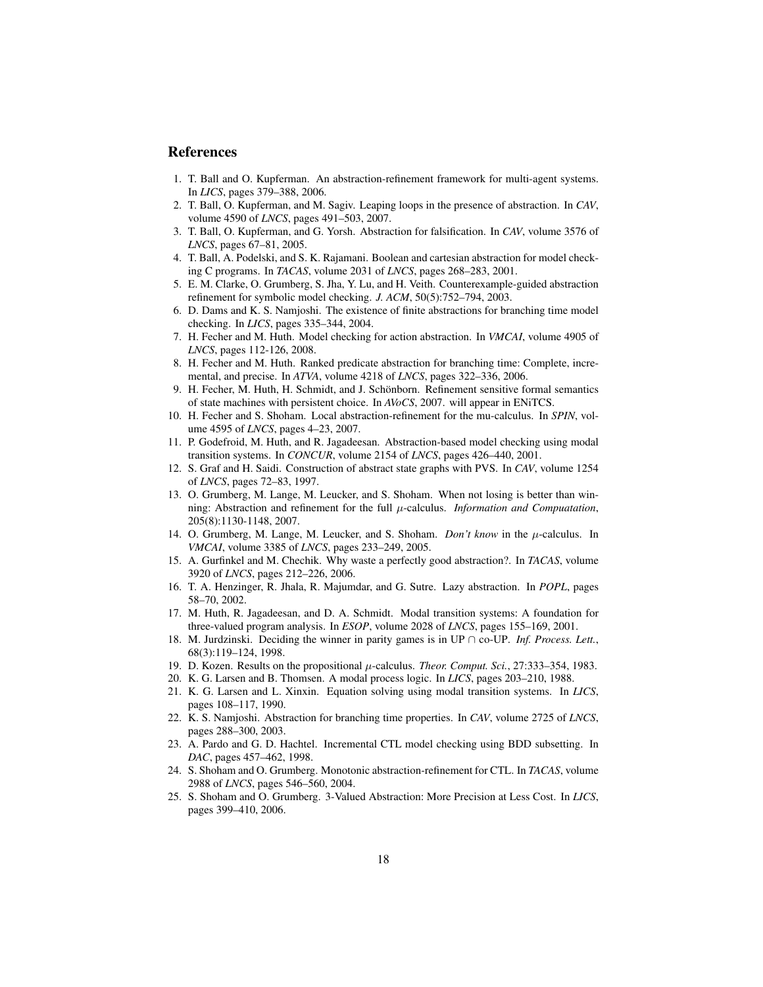#### References

- 1. T. Ball and O. Kupferman. An abstraction-refinement framework for multi-agent systems. In *LICS*, pages 379–388, 2006.
- 2. T. Ball, O. Kupferman, and M. Sagiv. Leaping loops in the presence of abstraction. In *CAV*, volume 4590 of *LNCS*, pages 491–503, 2007.
- 3. T. Ball, O. Kupferman, and G. Yorsh. Abstraction for falsification. In *CAV*, volume 3576 of *LNCS*, pages 67–81, 2005.
- 4. T. Ball, A. Podelski, and S. K. Rajamani. Boolean and cartesian abstraction for model checking C programs. In *TACAS*, volume 2031 of *LNCS*, pages 268–283, 2001.
- 5. E. M. Clarke, O. Grumberg, S. Jha, Y. Lu, and H. Veith. Counterexample-guided abstraction refinement for symbolic model checking. *J. ACM*, 50(5):752–794, 2003.
- 6. D. Dams and K. S. Namjoshi. The existence of finite abstractions for branching time model checking. In *LICS*, pages 335–344, 2004.
- 7. H. Fecher and M. Huth. Model checking for action abstraction. In *VMCAI*, volume 4905 of *LNCS*, pages 112-126, 2008.
- 8. H. Fecher and M. Huth. Ranked predicate abstraction for branching time: Complete, incremental, and precise. In *ATVA*, volume 4218 of *LNCS*, pages 322–336, 2006.
- 9. H. Fecher, M. Huth, H. Schmidt, and J. Schönborn. Refinement sensitive formal semantics of state machines with persistent choice. In *AVoCS*, 2007. will appear in ENiTCS.
- 10. H. Fecher and S. Shoham. Local abstraction-refinement for the mu-calculus. In *SPIN*, volume 4595 of *LNCS*, pages 4–23, 2007.
- 11. P. Godefroid, M. Huth, and R. Jagadeesan. Abstraction-based model checking using modal transition systems. In *CONCUR*, volume 2154 of *LNCS*, pages 426–440, 2001.
- 12. S. Graf and H. Saidi. Construction of abstract state graphs with PVS. In *CAV*, volume 1254 of *LNCS*, pages 72–83, 1997.
- 13. O. Grumberg, M. Lange, M. Leucker, and S. Shoham. When not losing is better than winning: Abstraction and refinement for the full µ-calculus. *Information and Compuatation*, 205(8):1130-1148, 2007.
- 14. O. Grumberg, M. Lange, M. Leucker, and S. Shoham. *Don't know* in the  $\mu$ -calculus. In *VMCAI*, volume 3385 of *LNCS*, pages 233–249, 2005.
- 15. A. Gurfinkel and M. Chechik. Why waste a perfectly good abstraction?. In *TACAS*, volume 3920 of *LNCS*, pages 212–226, 2006.
- 16. T. A. Henzinger, R. Jhala, R. Majumdar, and G. Sutre. Lazy abstraction. In *POPL*, pages 58–70, 2002.
- 17. M. Huth, R. Jagadeesan, and D. A. Schmidt. Modal transition systems: A foundation for three-valued program analysis. In *ESOP*, volume 2028 of *LNCS*, pages 155–169, 2001.
- 18. M. Jurdzinski. Deciding the winner in parity games is in UP ∩ co-UP. *Inf. Process. Lett.*, 68(3):119–124, 1998.
- 19. D. Kozen. Results on the propositional µ-calculus. *Theor. Comput. Sci.*, 27:333–354, 1983.
- 20. K. G. Larsen and B. Thomsen. A modal process logic. In *LICS*, pages 203–210, 1988.
- 21. K. G. Larsen and L. Xinxin. Equation solving using modal transition systems. In *LICS*, pages 108–117, 1990.
- 22. K. S. Namjoshi. Abstraction for branching time properties. In *CAV*, volume 2725 of *LNCS*, pages 288–300, 2003.
- 23. A. Pardo and G. D. Hachtel. Incremental CTL model checking using BDD subsetting. In *DAC*, pages 457–462, 1998.
- 24. S. Shoham and O. Grumberg. Monotonic abstraction-refinement for CTL. In *TACAS*, volume 2988 of *LNCS*, pages 546–560, 2004.
- 25. S. Shoham and O. Grumberg. 3-Valued Abstraction: More Precision at Less Cost. In *LICS*, pages 399–410, 2006.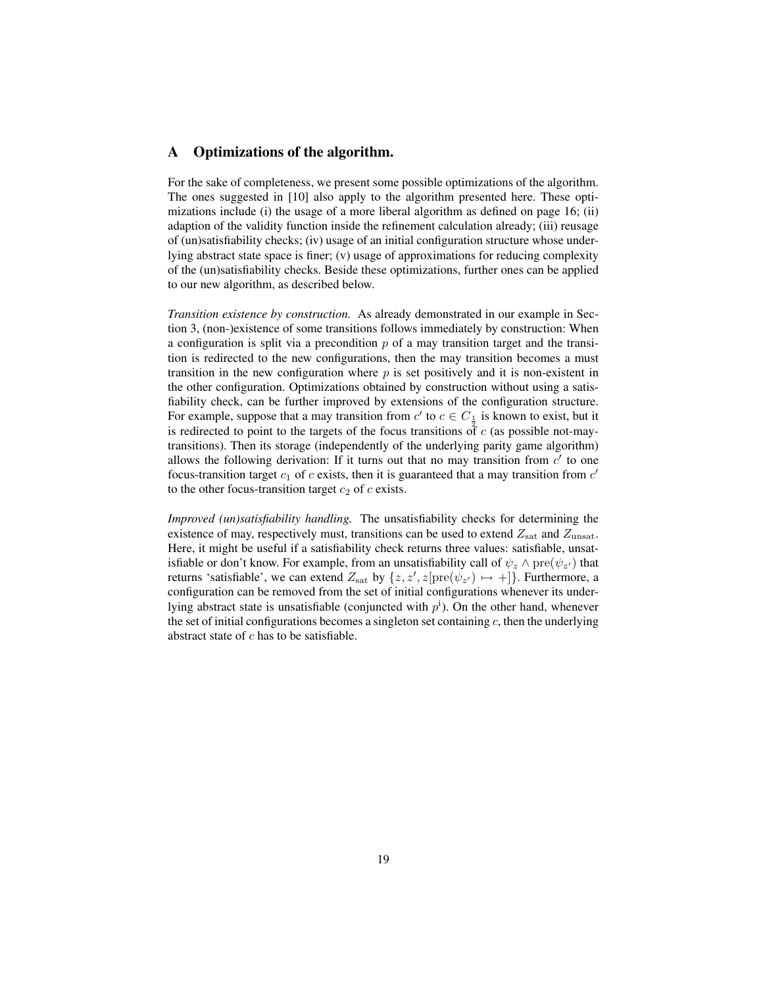#### A Optimizations of the algorithm.

For the sake of completeness, we present some possible optimizations of the algorithm. The ones suggested in [10] also apply to the algorithm presented here. These optimizations include (i) the usage of a more liberal algorithm as defined on page 16; (ii) adaption of the validity function inside the refinement calculation already; (iii) reusage of (un)satisfiability checks; (iv) usage of an initial configuration structure whose underlying abstract state space is finer; (v) usage of approximations for reducing complexity of the (un)satisfiability checks. Beside these optimizations, further ones can be applied to our new algorithm, as described below.

*Transition existence by construction.* As already demonstrated in our example in Section 3, (non-)existence of some transitions follows immediately by construction: When a configuration is split via a precondition  $p$  of a may transition target and the transition is redirected to the new configurations, then the may transition becomes a must transition in the new configuration where  $p$  is set positively and it is non-existent in the other configuration. Optimizations obtained by construction without using a satisfiability check, can be further improved by extensions of the configuration structure. For example, suppose that a may transition from  $c'$  to  $c \in C_{\frac{1}{2}}$  is known to exist, but it is redirected to point to the targets of the focus transitions of c (as possible not-maytransitions). Then its storage (independently of the underlying parity game algorithm) allows the following derivation: If it turns out that no may transition from  $c'$  to one focus-transition target  $c_1$  of c exists, then it is guaranteed that a may transition from  $c'$ to the other focus-transition target  $c_2$  of c exists.

*Improved (un)satisfiability handling.* The unsatisfiability checks for determining the existence of may, respectively must, transitions can be used to extend  $Z_{\text{sat}}$  and  $Z_{\text{unsat}}$ . Here, it might be useful if a satisfiability check returns three values: satisfiable, unsatisfiable or don't know. For example, from an unsatisfiability call of  $\psi_z \wedge \text{pre}(\psi_{z'})$  that returns 'satisfiable', we can extend  $Z_{\text{sat}}$  by  $\{z, z', z[\text{pre}(\psi_{z'}) \mapsto +]\}.$  Furthermore, a configuration can be removed from the set of initial configurations whenever its underlying abstract state is unsatisfiable (conjuncted with  $p<sup>j</sup>$ ). On the other hand, whenever the set of initial configurations becomes a singleton set containing  $c$ , then the underlying abstract state of  $c$  has to be satisfiable.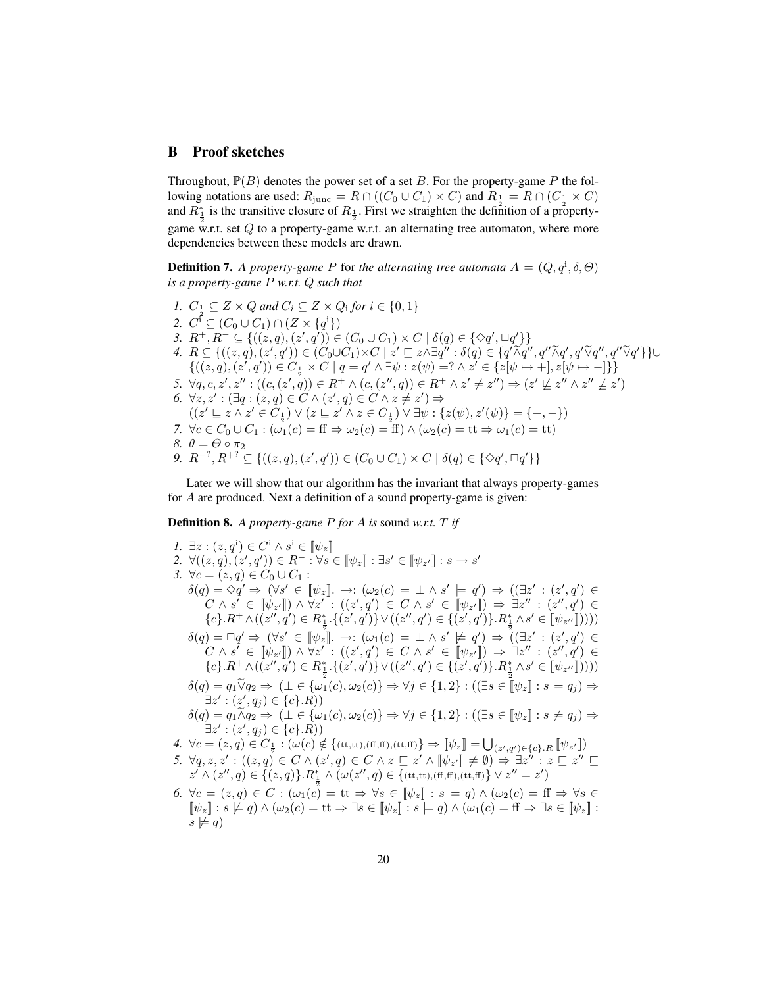# B Proof sketches

Throughout,  $\mathbb{P}(B)$  denotes the power set of a set B. For the property-game P the following notations are used:  $R_{\text{junc}} = R \cap ((C_0 \cup C_1) \times C)$  and  $R_{\frac{1}{2}} = R \cap (C_{\frac{1}{2}} \times C)$ and  $R_{\frac{1}{2}}^{*}$  is the transitive closure of  $R_{\frac{1}{2}}$ . First we straighten the definition of a propertygame w.r.t. set Q to a property-game w.r.t. an alternating tree automaton, where more dependencies between these models are drawn.

**Definition 7.** A property-game P for the alternating tree automata  $A = (Q, q^i, \delta, \Theta)$ *is a property-game* P *w.r.t.* Q *such that*

- *1.*  $C_{\frac{1}{2}} \subseteq Z \times Q$  and  $C_i \subseteq Z \times Q_i$  for  $i \in \{0,1\}$
- 2.  $C^i \subseteq (C_0 \cup C_1) \cap (Z \times \{q^i\})$
- 3.  $R^+, R^- \subseteq \{ ((z, q), (z', q')) \in (C_0 \cup C_1) \times C \mid \delta(q) \in \{\Diamond q', \Box q'\}\}\$
- *4.*  $R \subseteq \{((z,q),(z',q')) \in (C_0 \cup C_1) \times C \mid z' \sqsubseteq z \land \exists q'' : \delta(q) \in \{q' \tilde{\land} q'', q'' \tilde{\land} q', q' \tilde{\lor} q'', q'' \tilde{\lor} q'\}\} \cup$  $\{((z,q),(z',q'))\in C_{\frac{1}{2}}\times C\mid q=q'\wedge \exists \psi: z(\psi)=? \wedge z'\in \{z[\psi\mapsto +], z[\psi\mapsto -]\}\}\$
- $(3, 3)$ <br>  $\forall q, c, z', z'' : ((c, (z', q)) \in R^+ \land (c, (z'', q)) \in R^+ \land z' \neq z'') \Rightarrow (z' \not\sqsubseteq z'' \land z'' \not\sqsubseteq z')$
- 6.  $\forall z, z' : (\exists q : (z, q) \in C \land (z', q) \in C \land z \neq z') \Rightarrow$
- $((z'\sqsubseteq z \wedge z' \in C_{\frac{1}{2}}) \vee (z \sqsubseteq z' \wedge z \in C_{\frac{1}{2}}) \vee \exists \psi : \{z(\psi), z'(\psi)\} = \{+, -\})$
- 7.  $\forall c \in C_0 \cup C_1 : (\omega_1'(c) = \text{ff} \Rightarrow \omega_2(c) = \text{ff}) \land (\omega_2(c) = \text{tt} \Rightarrow \omega_1(c) = \text{tt})$
- *8.*  $\theta = \Theta \circ \pi_2$
- *9.*  $R^{-?}, R^{+?} \subseteq \{ ((z, q), (z', q')) \in (C_0 \cup C_1) \times C \mid \delta(q) \in \{ \diamond q', \Box q' \} \}$

Later we will show that our algorithm has the invariant that always property-games for A are produced. Next a definition of a sound property-game is given:

Definition 8. *A property-game* P *for* A *is* sound *w.r.t.* T *if*

1. 
$$
\exists z : (z, q^{i}) \in C^{i} \land s^{i} \in [\![\psi_{z}]\!]
$$
  
\n2.  $\forall ((z, q), (z', q')) \in R^{-} : \forall s \in [\![\psi_{z}]\!]$ :  $\exists s' \in [\![\psi_{z'}]\!]$ :  $s \rightarrow s'$   
\n3.  $\forall c = (z, q) \in C_{0} \cup C_{1}$ :  
\n $\delta(q) = \Diamond q' \Rightarrow (\forall s' \in [\![\psi_{z}]\!]$ .  $\rightarrow : (\omega_{2}(c) = \bot \land s' \models q') \Rightarrow ((\exists z' : (z', q') \in C \land s' \in [\![\psi_{z'}]\!]) \land \forall z' : ((z', q') \in C \land s' \in [\![\psi_{z'}]\!]) \Rightarrow \exists z'' : (z'', q') \in \{c\}, R^{+} \land ((z'', q') \in R_{\frac{1}{2}}^{*} \cdot \{(z', q')\} \lor ((z'', q') \in \{(z', q')\}, R_{\frac{1}{2}}^{*} \land s' \in [\![\psi_{z'}]\!]))\})$   
\n $\delta(q) = \Box q' \Rightarrow (\forall s' \in [\![\psi_{z}]\!]$ .  $\rightarrow : (\omega_{1}(c) = \bot \land s' \not\models q') \Rightarrow ((\exists z' : (z', q') \in C \land s' \in [\![\psi_{z'}]\!]))$ )  
\n $\delta(q) = \Box q' \Rightarrow (\forall s' \in [\![\psi_{z}]\!]$ .  $\rightarrow : (\omega_{1}(c) = \bot \land s' \not\models q') \Rightarrow ((\exists z' : (z', q') \in C \land s' \in [\![\psi_{z'}]\!]) \Rightarrow \exists z' : (z', q') \in \{c\}, R^{+} \land ((z'', q') \in R_{\frac{1}{2}}^{*} \cdot \{(z', q')\} \lor ((z'', q') \in \{(z', q')\}, R_{\frac{1}{2}}^{*} \land s' \in [\![\psi_{z''}]\!]))$ )  
\n $\delta(q) = q_{1} \lor q_{2} \Rightarrow (\bot \in \{\omega_{1}(c), \omega_{2}(c)\} \Rightarrow \forall j \in \{1, 2\} : ((\exists s \in [\![\psi_{z}]\!]$ :  $s \not\models q_{j}) \Rightarrow \exists z' : (z', q_{j}) \in \{c\}, R)$ 

 $2.6. \ \forall c = (z, q) \in C : (\omega_1(c) = \text{tt} \Rightarrow \forall s \in [\psi_z] : s \models q) \wedge (\omega_2(c) = \text{ff} \Rightarrow \forall s \in \mathbb{R}$  $[\![\psi_z]\!] : s \not\models q \cap \negthinspace \wedge (\omega_2(c) = \mathrm{tt} \Rightarrow \exists s \in [\![\psi_z]\!] : s \models q \cap \negthinspace \wedge (\omega_1(c) = \mathrm{ff} \Rightarrow \exists s \in [\![\psi_z]\!] :$  $s \not\models q$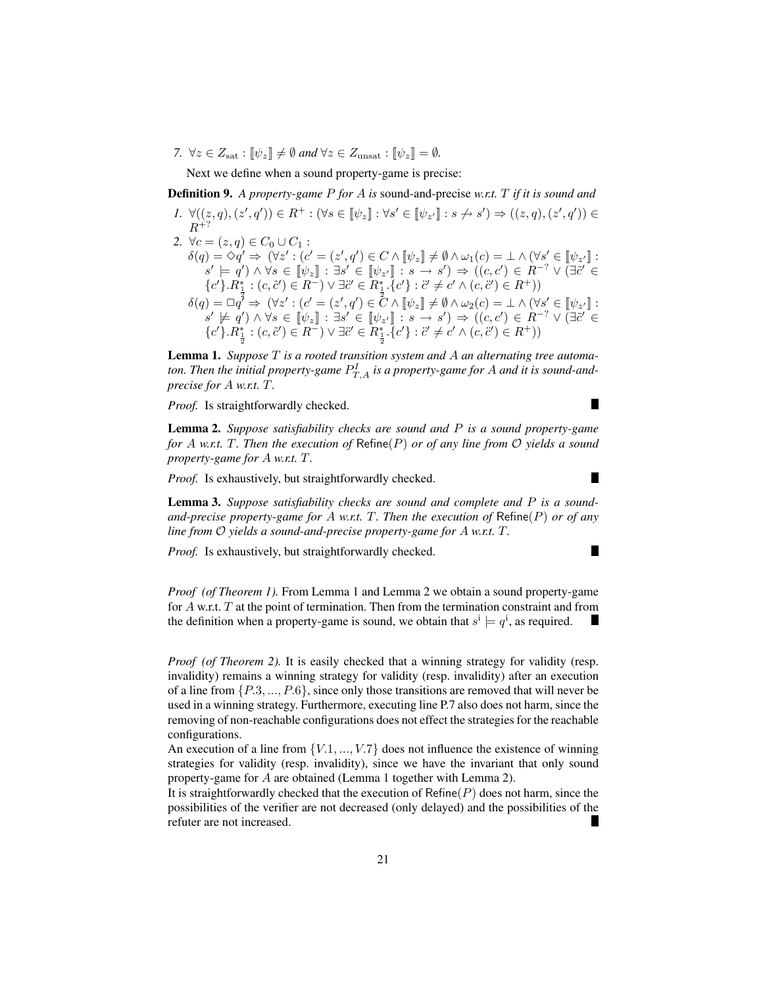*7.*  $\forall z \in Z_{\text{sat}} : [\psi_z] \neq \emptyset \text{ and } \forall z \in Z_{\text{unsat}} : [\psi_z] = \emptyset.$ 

Next we define when a sound property-game is precise:

Definition 9. *A property-game* P *for* A *is* sound-and-precise *w.r.t.* T *if it is sound and*

*1.*  $\forall ((z,q),(z',q')) \in R^+ : (\forall s \in [\![\psi_z]\!] : \forall s' \in [\![\psi_{z'}]\!] : s \nrightarrow s') \Rightarrow ((z,q),(z',q')) \in R$  $R^{+?}$ 2.  $\forall c = (z, q) \in C_0 \cup C_1$ :  $\delta(q) = \Diamond q' \Rightarrow (\forall z' : (c' = (z', q') \in C \land [\![\psi_z]\!] \neq \emptyset \land \omega_1(c) = \bot \land (\forall s' \in [\![\psi_{z'}]\!]$ :  $\{s' \models q') \land \forall s \in [\![\psi_z]\!] : \exists s' \in [\![\psi_{z'}]\!] : s \rightarrow s') \Rightarrow ((c, c') \in R^{-?} \lor \overline{(\exists c' \in R^{-?} \lor \overline{(\exists c' \in R^{-?} \lor \overline{(\exists c' \in R^{-?} \lor \overline{(\exists c' \in R^{-?} \lor \overline{(\exists c' \in R^{-?} \lor \overline{(\exists c' \in R^{-?} \lor \overline{(\exists c' \in R^{-?} \lor \overline{(\exists c' \in R^{-?} \lor \overline{(\exists c' \in R^{-?} \lor \overline{(\exists c' \in R^{-?} \lor \$  ${c'}.R_1^* : (c, \tilde{c}') \in R^ \vee \exists \tilde{c}' \in R_1^*. \{c'\} : \tilde{c}' \neq c' \wedge (c, \tilde{c}') \in R^+)$  $\delta(q) = \Box q^{\overline{\overline{j}}} \Rightarrow (\forall z': (c' = (z', q') \in \mathring{\overline{C}} \wedge [\![\psi_z]\!] \neq \emptyset \wedge \omega_2(c) = \bot \wedge (\forall s' \in [\![\psi_{z'}]\!]$  $\{s' \not\models q'\}\wedge \forall s\in [\![\psi_z]\!] : \exists s'\in [\![\psi_{z'}]\!] : s \rightarrow s') \Rightarrow ((c,c')\in R^{-?}\vee [\exists \tilde{c}'\in \mathbb{R}^d) )$  ${c'}$ ,  $R_{{\frac{1}{2}}}^{*}: (c, \tilde{c}') \in R^{-}$ )  $\vee \exists \tilde{c}' \in R_{{\frac{1}{2}}}^{*}$ ,  ${c'}$  :  $\tilde{c}' \neq c' \wedge (c, \tilde{c}') \in R^{+})$ )

Lemma 1. *Suppose* T *is a rooted transition system and* A *an alternating tree automa*ton. Then the initial property-game  $P^I_{T,A}$  is a property-game for  $A$  and it is sound-and*precise for* A *w.r.t.* T*.*

 $\blacksquare$ 

**I** 

П

*Proof.* Is straightforwardly checked.

Lemma 2. *Suppose satisfiability checks are sound and* P *is a sound property-game for* A *w.r.t.* T*. Then the execution of* Refine(P) *or of any line from* O *yields a sound property-game for* A *w.r.t.* T*.*

*Proof.* Is exhaustively, but straightforwardly checked.

Lemma 3. *Suppose satisfiability checks are sound and complete and* P *is a soundand-precise property-game for* A *w.r.t.* T*. Then the execution of* Refine(P) *or of any line from* O *yields a sound-and-precise property-game for* A *w.r.t.* T*.*

*Proof.* Is exhaustively, but straightforwardly checked.

*Proof (of Theorem 1).* From Lemma 1 and Lemma 2 we obtain a sound property-game for  $A$  w.r.t.  $T$  at the point of termination. Then from the termination constraint and from the definition when a property-game is sound, we obtain that  $s^i \models q^i$ , as required. ш

*Proof (of Theorem 2).* It is easily checked that a winning strategy for validity (resp. invalidity) remains a winning strategy for validity (resp. invalidity) after an execution of a line from  $\{P.3, ..., P.6\}$ , since only those transitions are removed that will never be used in a winning strategy. Furthermore, executing line P.7 also does not harm, since the removing of non-reachable configurations does not effect the strategies for the reachable configurations.

An execution of a line from  $\{V.1, ..., V.7\}$  does not influence the existence of winning strategies for validity (resp. invalidity), since we have the invariant that only sound property-game for A are obtained (Lemma 1 together with Lemma 2).

It is straightforwardly checked that the execution of Refine( $P$ ) does not harm, since the possibilities of the verifier are not decreased (only delayed) and the possibilities of the refuter are not increased.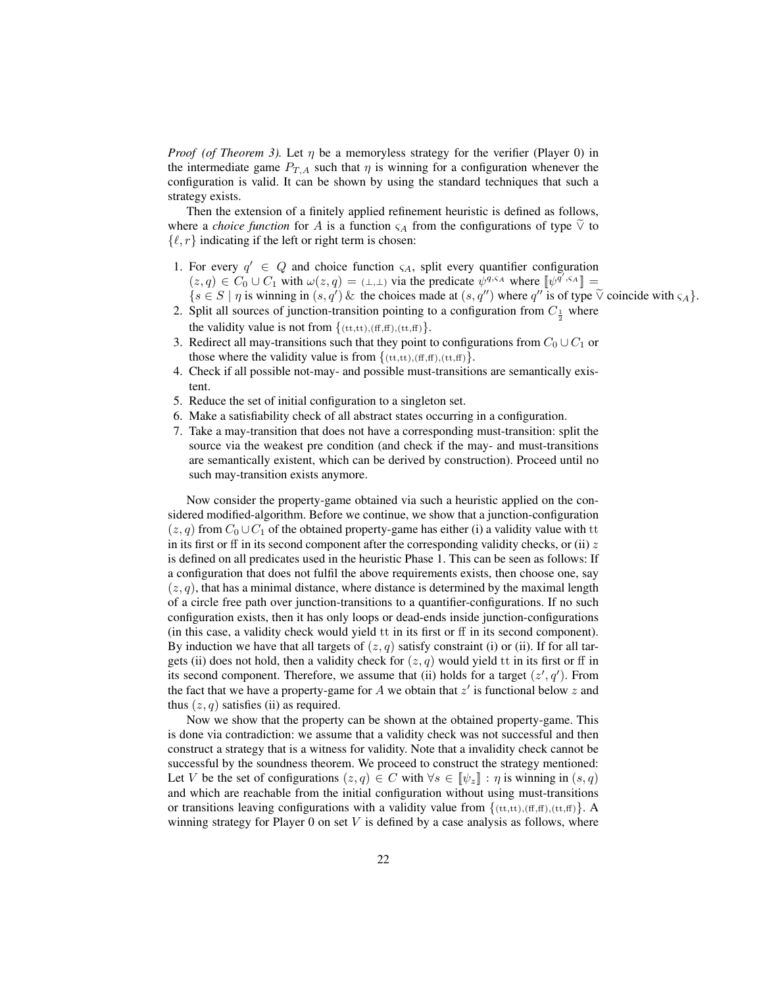*Proof (of Theorem 3).* Let  $\eta$  be a memoryless strategy for the verifier (Player 0) in the intermediate game  $P_{T,A}$  such that  $\eta$  is winning for a configuration whenever the configuration is valid. It can be shown by using the standard techniques that such a strategy exists.

Then the extension of a finitely applied refinement heuristic is defined as follows, where a *choice function* for A is a function  $\varsigma_A$  from the configurations of type  $\check{\vee}$  to  $\{\ell, r\}$  indicating if the left or right term is chosen:

- 1. For every  $q' \in Q$  and choice function  $\varsigma_A$ , split every quantifier configuration  $(z,q) \in C_0 \cup C_1$  with  $\omega(z,q) = (\perp, \perp)$  via the predicate  $\psi^{q,\varsigma_A}$  where  $[\psi^{q',\varsigma_A}]$  =  $\{s \in S \mid \eta \text{ is winning in } (s, q') \& \text{ the choices made at } (s, q'') \text{ where } q'' \text{ is of type } \tilde{\vee} \text{ coincide with } \varsigma_A \}.$
- 2. Split all sources of junction-transition pointing to a configuration from  $C_{\frac{1}{2}}$  where the validity value is not from  $\{(tt,t,t),(ff,f),(tt,ff)\}.$
- 3. Redirect all may-transitions such that they point to configurations from  $C_0 \cup C_1$  or those where the validity value is from  $\{(tt,ttt),(ff,fft),(tt,fft)\}.$
- 4. Check if all possible not-may- and possible must-transitions are semantically existent.
- 5. Reduce the set of initial configuration to a singleton set.
- 6. Make a satisfiability check of all abstract states occurring in a configuration.
- 7. Take a may-transition that does not have a corresponding must-transition: split the source via the weakest pre condition (and check if the may- and must-transitions are semantically existent, which can be derived by construction). Proceed until no such may-transition exists anymore.

Now consider the property-game obtained via such a heuristic applied on the considered modified-algorithm. Before we continue, we show that a junction-configuration  $(z, q)$  from  $C_0 \cup C_1$  of the obtained property-game has either (i) a validity value with tt in its first or ff in its second component after the corresponding validity checks, or (ii)  $z$ is defined on all predicates used in the heuristic Phase 1. This can be seen as follows: If a configuration that does not fulfil the above requirements exists, then choose one, say  $(z, q)$ , that has a minimal distance, where distance is determined by the maximal length of a circle free path over junction-transitions to a quantifier-configurations. If no such configuration exists, then it has only loops or dead-ends inside junction-configurations (in this case, a validity check would yield tt in its first or ff in its second component). By induction we have that all targets of  $(z, q)$  satisfy constraint (i) or (ii). If for all targets (ii) does not hold, then a validity check for  $(z, q)$  would yield tt in its first or ff in its second component. Therefore, we assume that (ii) holds for a target  $(z', q')$ . From the fact that we have a property-game for A we obtain that  $z'$  is functional below  $z$  and thus  $(z, q)$  satisfies (ii) as required.

Now we show that the property can be shown at the obtained property-game. This is done via contradiction: we assume that a validity check was not successful and then construct a strategy that is a witness for validity. Note that a invalidity check cannot be successful by the soundness theorem. We proceed to construct the strategy mentioned: Let V be the set of configurations  $(z, q) \in C$  with  $\forall s \in [\psi_z] : \eta$  is winning in  $(s, q)$ and which are reachable from the initial configuration without using must-transitions or transitions leaving configurations with a validity value from  $\{(tt,t,t),(\text{ff},\text{ff}),(\text{tt},\text{ff})\}$ . A winning strategy for Player  $0$  on set  $V$  is defined by a case analysis as follows, where